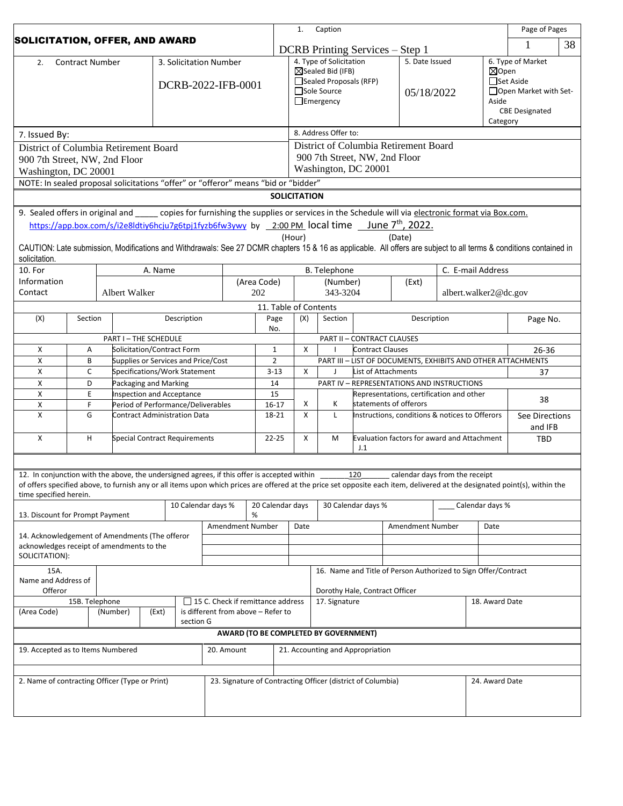|                                                                                             |                                    |         |                                                                        |       |                            |          |                                                             | 1.<br>Caption                               |                                                                                    |                                       |                         |                                                                                                                                                                            | Page of Pages                                                |                                   |                         |           |
|---------------------------------------------------------------------------------------------|------------------------------------|---------|------------------------------------------------------------------------|-------|----------------------------|----------|-------------------------------------------------------------|---------------------------------------------|------------------------------------------------------------------------------------|---------------------------------------|-------------------------|----------------------------------------------------------------------------------------------------------------------------------------------------------------------------|--------------------------------------------------------------|-----------------------------------|-------------------------|-----------|
| <b>SOLICITATION, OFFER, AND AWARD</b>                                                       |                                    |         |                                                                        |       |                            |          | DCRB Printing Services – Step 1                             |                                             |                                                                                    |                                       |                         |                                                                                                                                                                            | 1                                                            | 38                                |                         |           |
| <b>Contract Number</b><br>3. Solicitation Number<br>2.                                      |                                    |         |                                                                        |       |                            |          |                                                             | 4. Type of Solicitation                     |                                                                                    |                                       |                         | 5. Date Issued                                                                                                                                                             |                                                              | 6. Type of Market                 |                         |           |
|                                                                                             |                                    |         |                                                                        |       |                            |          |                                                             |                                             | ⊠Sealed Bid (IFB)<br>Sealed Proposals (RFP)                                        |                                       |                         |                                                                                                                                                                            |                                                              | $\boxtimes$ Open<br>□Set Aside    |                         |           |
|                                                                                             |                                    |         |                                                                        |       |                            |          | DCRB-2022-IFB-0001                                          |                                             |                                                                                    | Sole Source                           |                         |                                                                                                                                                                            | 05/18/2022                                                   |                                   | □ Open Market with Set- |           |
|                                                                                             |                                    |         |                                                                        |       |                            |          |                                                             |                                             |                                                                                    | $\Box$ Emergency                      |                         |                                                                                                                                                                            |                                                              |                                   | Aside                   |           |
|                                                                                             |                                    |         |                                                                        |       |                            |          |                                                             |                                             |                                                                                    |                                       |                         |                                                                                                                                                                            |                                                              | <b>CBE Designated</b><br>Category |                         |           |
| 7. Issued By:                                                                               |                                    |         |                                                                        |       |                            |          |                                                             |                                             |                                                                                    | 8. Address Offer to:                  |                         |                                                                                                                                                                            |                                                              |                                   |                         |           |
| District of Columbia Retirement Board                                                       |                                    |         |                                                                        |       |                            |          |                                                             |                                             |                                                                                    |                                       |                         | District of Columbia Retirement Board                                                                                                                                      |                                                              |                                   |                         |           |
| 900 7th Street, NW, 2nd Floor                                                               |                                    |         |                                                                        |       |                            |          |                                                             |                                             |                                                                                    | 900 7th Street, NW, 2nd Floor         |                         |                                                                                                                                                                            |                                                              |                                   |                         |           |
| Washington, DC 20001                                                                        |                                    |         |                                                                        |       |                            |          |                                                             |                                             | Washington, DC 20001                                                               |                                       |                         |                                                                                                                                                                            |                                                              |                                   |                         |           |
|                                                                                             |                                    |         |                                                                        |       |                            |          |                                                             |                                             | NOTE: In sealed proposal solicitations "offer" or "offeror" means "bid or "bidder" |                                       |                         |                                                                                                                                                                            |                                                              |                                   |                         |           |
|                                                                                             |                                    |         |                                                                        |       |                            |          |                                                             |                                             | <b>SOLICITATION</b>                                                                |                                       |                         |                                                                                                                                                                            |                                                              |                                   |                         |           |
|                                                                                             |                                    |         |                                                                        |       |                            |          |                                                             |                                             |                                                                                    |                                       |                         | 9. Sealed offers in original and _____ copies for furnishing the supplies or services in the Schedule will via electronic format via Box.com.                              |                                                              |                                   |                         |           |
|                                                                                             |                                    |         |                                                                        |       |                            |          |                                                             |                                             |                                                                                    |                                       |                         | https://app.box.com/s/i2e8ldtiy6hcju7g6tpj1fyzb6fw3ywy by 2:00 PM local time _ June 7 <sup>th</sup> , 2022.                                                                |                                                              |                                   |                         |           |
|                                                                                             |                                    |         |                                                                        |       |                            |          |                                                             |                                             | (Hour)                                                                             |                                       |                         | (Date)                                                                                                                                                                     |                                                              |                                   |                         |           |
| solicitation.                                                                               |                                    |         |                                                                        |       |                            |          |                                                             |                                             |                                                                                    |                                       |                         | CAUTION: Late submission, Modifications and Withdrawals: See 27 DCMR chapters 15 & 16 as applicable. All offers are subject to all terms & conditions contained in         |                                                              |                                   |                         |           |
| 10. For                                                                                     |                                    | A. Name |                                                                        |       | B. Telephone               |          |                                                             |                                             | C. E-mail Address                                                                  |                                       |                         |                                                                                                                                                                            |                                                              |                                   |                         |           |
| Information                                                                                 |                                    |         |                                                                        |       |                            |          |                                                             | (Area Code)                                 |                                                                                    | (Number)                              |                         | (Ext)                                                                                                                                                                      |                                                              |                                   |                         |           |
| Contact                                                                                     |                                    |         | Albert Walker                                                          |       |                            |          |                                                             | 202                                         |                                                                                    | 343-3204                              |                         |                                                                                                                                                                            | albert.walker2@dc.gov                                        |                                   |                         |           |
| (X)                                                                                         | Section                            |         |                                                                        |       | Description                |          |                                                             | 11. Table of Contents<br>Page               | (X)                                                                                | Section                               |                         | Description                                                                                                                                                                |                                                              |                                   |                         |           |
|                                                                                             |                                    |         |                                                                        |       |                            |          |                                                             | No.                                         |                                                                                    |                                       |                         |                                                                                                                                                                            |                                                              |                                   | Page No.                |           |
|                                                                                             |                                    |         | PART I - THE SCHEDULE                                                  |       |                            |          |                                                             |                                             | <b>PART II - CONTRACT CLAUSES</b>                                                  |                                       |                         |                                                                                                                                                                            |                                                              |                                   |                         |           |
| X                                                                                           | Α                                  |         |                                                                        |       | Solicitation/Contract Form |          |                                                             | $\mathbf{1}$                                | X                                                                                  |                                       | <b>Contract Clauses</b> |                                                                                                                                                                            |                                                              |                                   |                         | $26 - 36$ |
| Χ                                                                                           | B                                  |         | Supplies or Services and Price/Cost                                    |       |                            |          | $\overline{2}$                                              |                                             |                                                                                    |                                       |                         |                                                                                                                                                                            | PART III - LIST OF DOCUMENTS, EXHIBITS AND OTHER ATTACHMENTS |                                   |                         |           |
| X                                                                                           | C                                  |         | Specifications/Work Statement                                          |       |                            | $3 - 13$ |                                                             |                                             | $\boldsymbol{\mathsf{X}}$                                                          | J                                     |                         | List of Attachments                                                                                                                                                        | 37                                                           |                                   |                         |           |
| X<br>X                                                                                      | D<br>E                             |         | Packaging and Marking                                                  |       |                            | 14<br>15 |                                                             |                                             |                                                                                    |                                       |                         | PART IV - REPRESENTATIONS AND INSTRUCTIONS<br>Representations, certification and other                                                                                     |                                                              |                                   |                         |           |
| Χ                                                                                           | F                                  |         | <b>Inspection and Acceptance</b><br>Period of Performance/Deliverables |       |                            |          | $16 - 17$                                                   | Χ                                           | К                                                                                  |                                       | statements of offerors  |                                                                                                                                                                            |                                                              |                                   |                         |           |
| Х                                                                                           | G                                  |         | Contract Administration Data                                           |       |                            | 18-21    |                                                             | X                                           | L                                                                                  |                                       |                         | Instructions, conditions & notices to Offerors                                                                                                                             |                                                              | See Directions<br>and IFB         |                         |           |
| X                                                                                           | н<br>Special Contract Requirements |         | 22-25                                                                  |       | Χ                          | M        | J.1                                                         | Evaluation factors for award and Attachment |                                                                                    | TBD                                   |                         |                                                                                                                                                                            |                                                              |                                   |                         |           |
|                                                                                             |                                    |         |                                                                        |       |                            |          |                                                             |                                             |                                                                                    |                                       |                         |                                                                                                                                                                            |                                                              |                                   |                         |           |
| 12. In conjunction with the above, the undersigned agrees, if this offer is accepted within |                                    |         |                                                                        |       |                            |          |                                                             |                                             |                                                                                    |                                       | 120                     | calendar days from the receipt                                                                                                                                             |                                                              |                                   |                         |           |
|                                                                                             |                                    |         |                                                                        |       |                            |          |                                                             |                                             |                                                                                    |                                       |                         | of offers specified above, to furnish any or all items upon which prices are offered at the price set opposite each item, delivered at the designated point(s), within the |                                                              |                                   |                         |           |
| time specified herein.<br>10 Calendar days %                                                |                                    |         |                                                                        |       | 20 Calendar days           |          |                                                             |                                             | 30 Calendar days %                                                                 |                                       | Calendar days %         |                                                                                                                                                                            |                                                              |                                   |                         |           |
| 13. Discount for Prompt Payment                                                             |                                    |         | %                                                                      |       |                            |          |                                                             |                                             |                                                                                    |                                       |                         |                                                                                                                                                                            |                                                              |                                   |                         |           |
|                                                                                             |                                    |         |                                                                        |       | Amendment Number           |          |                                                             | Date                                        |                                                                                    |                                       | Amendment Number        | Date                                                                                                                                                                       |                                                              |                                   |                         |           |
| 14. Acknowledgement of Amendments (The offeror<br>acknowledges receipt of amendments to the |                                    |         |                                                                        |       |                            |          |                                                             |                                             |                                                                                    |                                       |                         |                                                                                                                                                                            |                                                              |                                   |                         |           |
| SOLICITATION):                                                                              |                                    |         |                                                                        |       |                            |          |                                                             |                                             |                                                                                    |                                       |                         |                                                                                                                                                                            |                                                              |                                   |                         |           |
| 15A.                                                                                        |                                    |         |                                                                        |       |                            |          |                                                             |                                             |                                                                                    |                                       |                         | 16. Name and Title of Person Authorized to Sign Offer/Contract                                                                                                             |                                                              |                                   |                         |           |
| Name and Address of                                                                         |                                    |         |                                                                        |       |                            |          |                                                             |                                             |                                                                                    |                                       |                         |                                                                                                                                                                            |                                                              |                                   |                         |           |
| Offeror<br>15 C. Check if remittance address<br>15B. Telephone                              |                                    |         |                                                                        |       |                            |          |                                                             |                                             | Dorothy Hale, Contract Officer<br>17. Signature                                    |                                       |                         |                                                                                                                                                                            | 18. Award Date                                               |                                   |                         |           |
| (Area Code)                                                                                 |                                    |         | (Number)                                                               | (Ext) |                            |          |                                                             | is different from above - Refer to          |                                                                                    |                                       |                         |                                                                                                                                                                            |                                                              |                                   |                         |           |
|                                                                                             |                                    |         |                                                                        |       | section G                  |          |                                                             |                                             |                                                                                    |                                       |                         |                                                                                                                                                                            |                                                              |                                   |                         |           |
|                                                                                             |                                    |         |                                                                        |       |                            |          |                                                             |                                             |                                                                                    | AWARD (TO BE COMPLETED BY GOVERNMENT) |                         |                                                                                                                                                                            |                                                              |                                   |                         |           |
| 19. Accepted as to Items Numbered<br>20. Amount                                             |                                    |         |                                                                        |       |                            |          |                                                             | 21. Accounting and Appropriation            |                                                                                    |                                       |                         |                                                                                                                                                                            |                                                              |                                   |                         |           |
|                                                                                             |                                    |         |                                                                        |       |                            |          |                                                             |                                             |                                                                                    |                                       |                         |                                                                                                                                                                            |                                                              |                                   |                         |           |
| 2. Name of contracting Officer (Type or Print)                                              |                                    |         |                                                                        |       |                            |          | 23. Signature of Contracting Officer (district of Columbia) |                                             |                                                                                    |                                       | 24. Award Date          |                                                                                                                                                                            |                                                              |                                   |                         |           |
|                                                                                             |                                    |         |                                                                        |       |                            |          |                                                             |                                             |                                                                                    |                                       |                         |                                                                                                                                                                            |                                                              |                                   |                         |           |
|                                                                                             |                                    |         |                                                                        |       |                            |          |                                                             |                                             |                                                                                    |                                       |                         |                                                                                                                                                                            |                                                              |                                   |                         |           |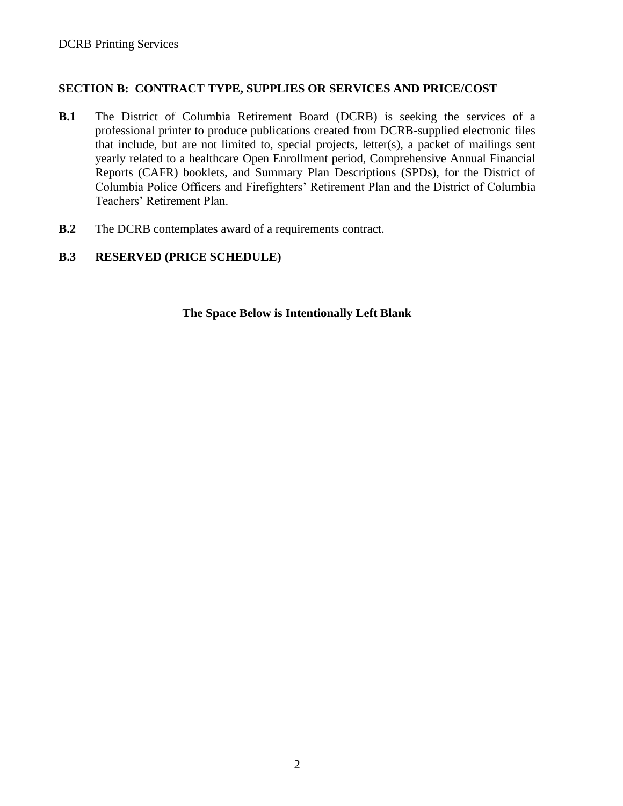### **SECTION B: CONTRACT TYPE, SUPPLIES OR SERVICES AND PRICE/COST**

- **B.1** The District of Columbia Retirement Board (DCRB) is seeking the services of a professional printer to produce publications created from DCRB-supplied electronic files that include, but are not limited to, special projects, letter(s), a packet of mailings sent yearly related to a healthcare Open Enrollment period, Comprehensive Annual Financial Reports (CAFR) booklets, and Summary Plan Descriptions (SPDs), for the District of Columbia Police Officers and Firefighters' Retirement Plan and the District of Columbia Teachers' Retirement Plan.
- **B.2** The DCRB contemplates award of a requirements contract.

### **B.3 RESERVED (PRICE SCHEDULE)**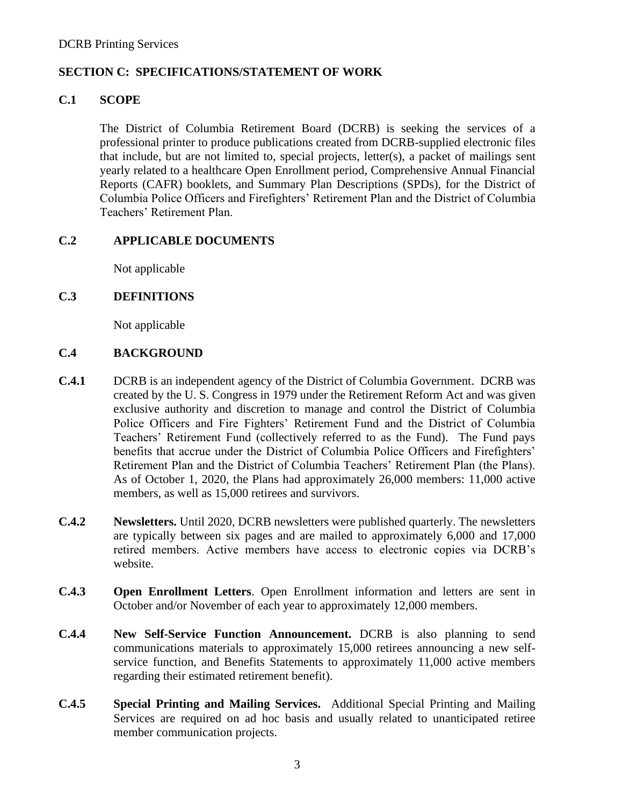### **SECTION C: SPECIFICATIONS/STATEMENT OF WORK**

### **C.1 SCOPE**

The District of Columbia Retirement Board (DCRB) is seeking the services of a professional printer to produce publications created from DCRB-supplied electronic files that include, but are not limited to, special projects, letter(s), a packet of mailings sent yearly related to a healthcare Open Enrollment period, Comprehensive Annual Financial Reports (CAFR) booklets, and Summary Plan Descriptions (SPDs), for the District of Columbia Police Officers and Firefighters' Retirement Plan and the District of Columbia Teachers' Retirement Plan.

### **C.2 APPLICABLE DOCUMENTS**

Not applicable

### **C.3 DEFINITIONS**

Not applicable

### **C.4 BACKGROUND**

- **C.4.1** DCRB is an independent agency of the District of Columbia Government. DCRB was created by the U. S. Congress in 1979 under the Retirement Reform Act and was given exclusive authority and discretion to manage and control the District of Columbia Police Officers and Fire Fighters' Retirement Fund and the District of Columbia Teachers' Retirement Fund (collectively referred to as the Fund). The Fund pays benefits that accrue under the District of Columbia Police Officers and Firefighters' Retirement Plan and the District of Columbia Teachers' Retirement Plan (the Plans). As of October 1, 2020, the Plans had approximately 26,000 members: 11,000 active members, as well as 15,000 retirees and survivors.
- **C.4.2 Newsletters.** Until 2020, DCRB newsletters were published quarterly. The newsletters are typically between six pages and are mailed to approximately 6,000 and 17,000 retired members. Active members have access to electronic copies via DCRB's website.
- **C.4.3 Open Enrollment Letters**. Open Enrollment information and letters are sent in October and/or November of each year to approximately 12,000 members.
- **C.4.4 New Self-Service Function Announcement.** DCRB is also planning to send communications materials to approximately 15,000 retirees announcing a new selfservice function, and Benefits Statements to approximately 11,000 active members regarding their estimated retirement benefit).
- **C.4.5 Special Printing and Mailing Services.** Additional Special Printing and Mailing Services are required on ad hoc basis and usually related to unanticipated retiree member communication projects.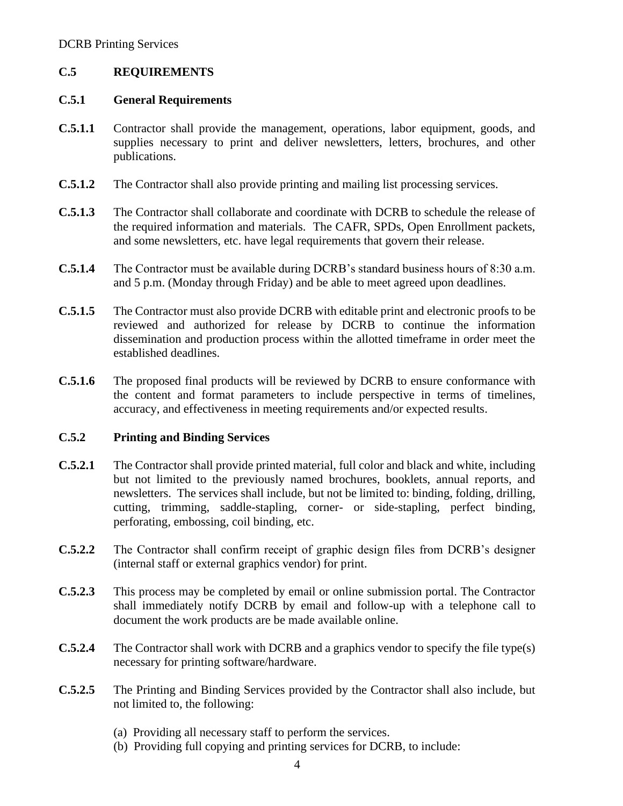### **C.5 REQUIREMENTS**

#### **C.5.1 General Requirements**

- **C.5.1.1** Contractor shall provide the management, operations, labor equipment, goods, and supplies necessary to print and deliver newsletters, letters, brochures, and other publications.
- **C.5.1.2** The Contractor shall also provide printing and mailing list processing services.
- **C.5.1.3** The Contractor shall collaborate and coordinate with DCRB to schedule the release of the required information and materials. The CAFR, SPDs, Open Enrollment packets, and some newsletters, etc. have legal requirements that govern their release.
- **C.5.1.4** The Contractor must be available during DCRB's standard business hours of 8:30 a.m. and 5 p.m. (Monday through Friday) and be able to meet agreed upon deadlines.
- **C.5.1.5** The Contractor must also provide DCRB with editable print and electronic proofs to be reviewed and authorized for release by DCRB to continue the information dissemination and production process within the allotted timeframe in order meet the established deadlines.
- **C.5.1.6** The proposed final products will be reviewed by DCRB to ensure conformance with the content and format parameters to include perspective in terms of timelines, accuracy, and effectiveness in meeting requirements and/or expected results.

### **C.5.2 Printing and Binding Services**

- **C.5.2.1** The Contractor shall provide printed material, full color and black and white, including but not limited to the previously named brochures, booklets, annual reports, and newsletters. The services shall include, but not be limited to: binding, folding, drilling, cutting, trimming, saddle-stapling, corner- or side-stapling, perfect binding, perforating, embossing, coil binding, etc.
- **C.5.2.2** The Contractor shall confirm receipt of graphic design files from DCRB's designer (internal staff or external graphics vendor) for print.
- **C.5.2.3** This process may be completed by email or online submission portal. The Contractor shall immediately notify DCRB by email and follow-up with a telephone call to document the work products are be made available online.
- **C.5.2.4** The Contractor shall work with DCRB and a graphics vendor to specify the file type(s) necessary for printing software/hardware.
- **C.5.2.5** The Printing and Binding Services provided by the Contractor shall also include, but not limited to, the following:
	- (a) Providing all necessary staff to perform the services.
	- (b) Providing full copying and printing services for DCRB, to include: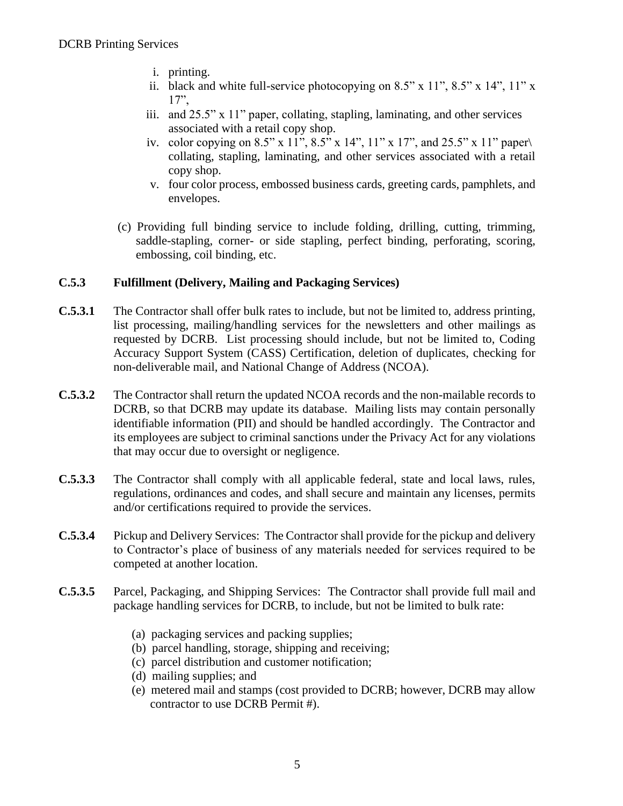- i. printing.
- ii. black and white full-service photocopying on  $8.5$ " x  $11$ ",  $8.5$ " x  $14$ ",  $11$ " x 17",
- iii. and 25.5" x 11" paper, collating, stapling, laminating, and other services associated with a retail copy shop.
- iv. color copying on 8.5" x 11", 8.5" x 14", 11" x 17", and 25.5" x 11" paper $\setminus$ collating, stapling, laminating, and other services associated with a retail copy shop.
- v. four color process, embossed business cards, greeting cards, pamphlets, and envelopes.
- (c) Providing full binding service to include folding, drilling, cutting, trimming, saddle-stapling, corner- or side stapling, perfect binding, perforating, scoring, embossing, coil binding, etc.

### **C.5.3 Fulfillment (Delivery, Mailing and Packaging Services)**

- **C.5.3.1** The Contractor shall offer bulk rates to include, but not be limited to, address printing, list processing, mailing/handling services for the newsletters and other mailings as requested by DCRB. List processing should include, but not be limited to, Coding Accuracy Support System (CASS) Certification, deletion of duplicates, checking for non-deliverable mail, and National Change of Address (NCOA).
- **C.5.3.2** The Contractor shall return the updated NCOA records and the non-mailable records to DCRB, so that DCRB may update its database. Mailing lists may contain personally identifiable information (PII) and should be handled accordingly. The Contractor and its employees are subject to criminal sanctions under the Privacy Act for any violations that may occur due to oversight or negligence.
- **C.5.3.3** The Contractor shall comply with all applicable federal, state and local laws, rules, regulations, ordinances and codes, and shall secure and maintain any licenses, permits and/or certifications required to provide the services.
- **C.5.3.4** Pickup and Delivery Services: The Contractor shall provide for the pickup and delivery to Contractor's place of business of any materials needed for services required to be competed at another location.
- **C.5.3.5** Parcel, Packaging, and Shipping Services: The Contractor shall provide full mail and package handling services for DCRB, to include, but not be limited to bulk rate:
	- (a) packaging services and packing supplies;
	- (b) parcel handling, storage, shipping and receiving;
	- (c) parcel distribution and customer notification;
	- (d) mailing supplies; and
	- (e) metered mail and stamps (cost provided to DCRB; however, DCRB may allow contractor to use DCRB Permit #).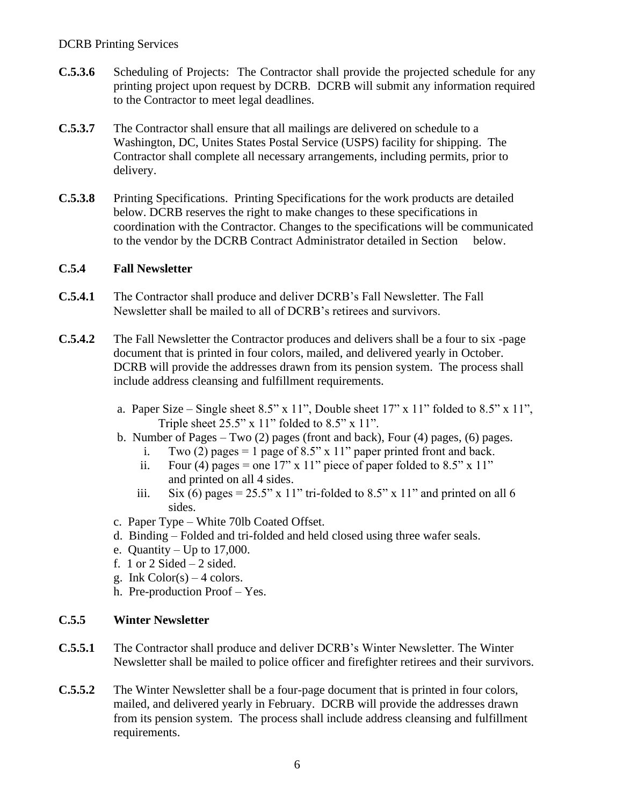#### DCRB Printing Services

- **C.5.3.6** Scheduling of Projects: The Contractor shall provide the projected schedule for any printing project upon request by DCRB. DCRB will submit any information required to the Contractor to meet legal deadlines.
- **C.5.3.7** The Contractor shall ensure that all mailings are delivered on schedule to a Washington, DC, Unites States Postal Service (USPS) facility for shipping. The Contractor shall complete all necessary arrangements, including permits, prior to delivery.
- **C.5.3.8** Printing Specifications. Printing Specifications for the work products are detailed below. DCRB reserves the right to make changes to these specifications in coordination with the Contractor. Changes to the specifications will be communicated to the vendor by the DCRB Contract Administrator detailed in Section below.

#### **C.5.4 Fall Newsletter**

- **C.5.4.1** The Contractor shall produce and deliver DCRB's Fall Newsletter. The Fall Newsletter shall be mailed to all of DCRB's retirees and survivors.
- **C.5.4.2** The Fall Newsletter the Contractor produces and delivers shall be a four to six -page document that is printed in four colors, mailed, and delivered yearly in October. DCRB will provide the addresses drawn from its pension system. The process shall include address cleansing and fulfillment requirements.
	- a. Paper Size Single sheet  $8.5$ " x  $11$ ", Double sheet  $17$ " x  $11$ " folded to  $8.5$ " x  $11$ ", Triple sheet  $25.5$ " x  $11$ " folded to  $8.5$ " x  $11$ ".
	- b. Number of Pages Two (2) pages (front and back), Four (4) pages, (6) pages.
		- i. Two (2) pages = 1 page of 8.5" x 11" paper printed front and back.
		- ii. Four (4) pages = one 17" x 11" piece of paper folded to  $8.5$ " x 11" and printed on all 4 sides.
		- iii. Six (6) pages =  $25.5$ " x 11" tri-folded to 8.5" x 11" and printed on all 6 sides.
	- c. Paper Type White 70lb Coated Offset.
	- d. Binding Folded and tri-folded and held closed using three wafer seals.
	- e. Quantity Up to 17,000.
	- f. 1 or  $2$  Sided  $-2$  sided.
	- g. Ink  $Color(s) 4 colors.$
	- h. Pre-production Proof Yes.

### **C.5.5 Winter Newsletter**

- **C.5.5.1** The Contractor shall produce and deliver DCRB's Winter Newsletter. The Winter Newsletter shall be mailed to police officer and firefighter retirees and their survivors.
- **C.5.5.2** The Winter Newsletter shall be a four-page document that is printed in four colors, mailed, and delivered yearly in February. DCRB will provide the addresses drawn from its pension system. The process shall include address cleansing and fulfillment requirements.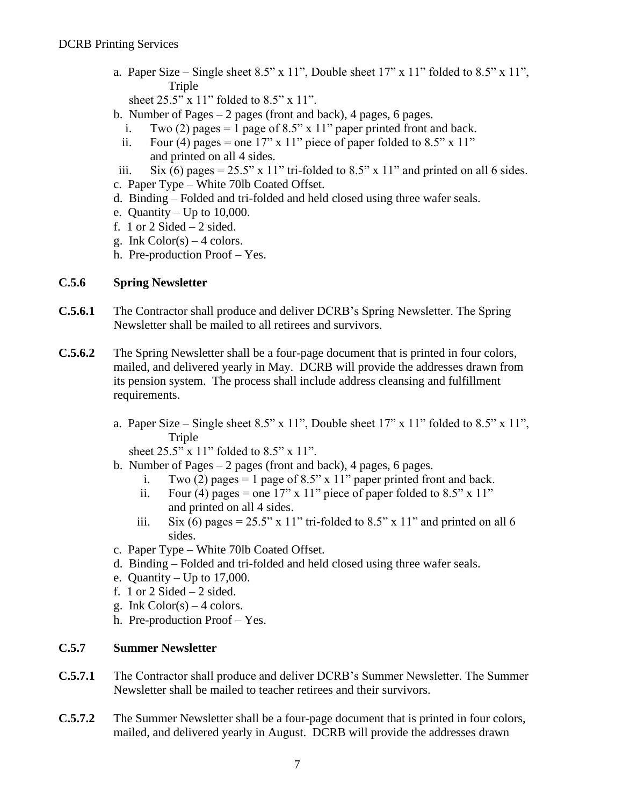a. Paper Size – Single sheet 8.5" x 11", Double sheet  $17"$  x  $11"$  folded to 8.5" x  $11"$ , Triple

sheet 25.5" x 11" folded to 8.5" x 11".

- b. Number of Pages 2 pages (front and back), 4 pages, 6 pages.
	- i. Two (2) pages = 1 page of 8.5" x 11" paper printed front and back.
	- ii. Four (4) pages = one 17" x 11" piece of paper folded to  $8.5$ " x 11" and printed on all 4 sides.
- iii. Six (6) pages =  $25.5$ " x 11" tri-folded to  $8.5$ " x 11" and printed on all 6 sides.
- c. Paper Type White 70lb Coated Offset.
- d. Binding Folded and tri-folded and held closed using three wafer seals.
- e. Quantity Up to 10,000.
- f. 1 or  $2$  Sided  $-2$  sided.
- g. Ink  $Color(s) 4 colors.$
- h. Pre-production Proof Yes.

### **C.5.6 Spring Newsletter**

- **C.5.6.1** The Contractor shall produce and deliver DCRB's Spring Newsletter. The Spring Newsletter shall be mailed to all retirees and survivors.
- **C.5.6.2** The Spring Newsletter shall be a four-page document that is printed in four colors, mailed, and delivered yearly in May. DCRB will provide the addresses drawn from its pension system. The process shall include address cleansing and fulfillment requirements.
	- a. Paper Size Single sheet  $8.5$ " x  $11$ ", Double sheet  $17$ " x  $11$ " folded to  $8.5$ " x  $11$ ", Triple

sheet 25.5" x 11" folded to 8.5" x 11".

- b. Number of Pages 2 pages (front and back), 4 pages, 6 pages.
	- i. Two (2) pages = 1 page of 8.5" x 11" paper printed front and back.
	- ii. Four (4) pages = one 17" x 11" piece of paper folded to  $8.5$ " x 11" and printed on all 4 sides.
	- iii. Six (6) pages =  $25.5$ " x 11" tri-folded to 8.5" x 11" and printed on all 6 sides.
- c. Paper Type White 70lb Coated Offset.
- d. Binding Folded and tri-folded and held closed using three wafer seals.
- e. Quantity Up to  $17,000$ .
- f. 1 or 2 Sided  $-2$  sided.
- g. Ink  $Color(s) 4 colors.$
- h. Pre-production Proof Yes.

### **C.5.7 Summer Newsletter**

- **C.5.7.1** The Contractor shall produce and deliver DCRB's Summer Newsletter. The Summer Newsletter shall be mailed to teacher retirees and their survivors.
- **C.5.7.2** The Summer Newsletter shall be a four-page document that is printed in four colors, mailed, and delivered yearly in August. DCRB will provide the addresses drawn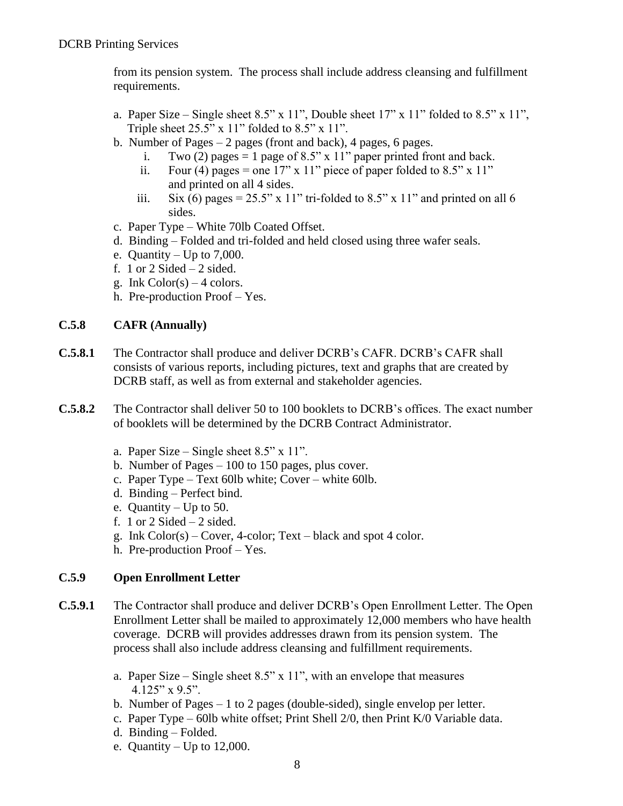from its pension system. The process shall include address cleansing and fulfillment requirements.

- a. Paper Size Single sheet  $8.5$ " x  $11$ ", Double sheet  $17$ " x  $11$ " folded to  $8.5$ " x  $11$ ", Triple sheet  $25.5$ " x  $11$ " folded to  $8.5$ " x  $11$ ".
- b. Number of Pages 2 pages (front and back), 4 pages, 6 pages.
	- i. Two (2) pages = 1 page of 8.5" x 11" paper printed front and back.
	- ii. Four (4) pages = one 17" x 11" piece of paper folded to  $8.5$ " x 11" and printed on all 4 sides.
	- iii. Six (6) pages =  $25.5$ " x 11" tri-folded to  $8.5$ " x 11" and printed on all 6 sides.
- c. Paper Type White 70lb Coated Offset.
- d. Binding Folded and tri-folded and held closed using three wafer seals.
- e. Quantity Up to  $7,000$ .
- f. 1 or 2 Sided  $-2$  sided.
- g. Ink  $Color(s) 4 colors.$
- h. Pre-production Proof Yes.

### **C.5.8 CAFR (Annually)**

- **C.5.8.1** The Contractor shall produce and deliver DCRB's CAFR. DCRB's CAFR shall consists of various reports, including pictures, text and graphs that are created by DCRB staff, as well as from external and stakeholder agencies.
- **C.5.8.2** The Contractor shall deliver 50 to 100 booklets to DCRB's offices. The exact number of booklets will be determined by the DCRB Contract Administrator.
	- a. Paper Size Single sheet  $8.5$ " x  $11$ ".
	- b. Number of Pages 100 to 150 pages, plus cover.
	- c. Paper Type Text 60lb white; Cover white 60lb.
	- d. Binding Perfect bind.
	- e. Quantity Up to 50.
	- f. 1 or 2 Sided  $-2$  sided.
	- g. Ink Color(s) Cover, 4-color; Text black and spot 4 color.
	- h. Pre-production Proof Yes.

### **C.5.9 Open Enrollment Letter**

- **C.5.9.1** The Contractor shall produce and deliver DCRB's Open Enrollment Letter. The Open Enrollment Letter shall be mailed to approximately 12,000 members who have health coverage. DCRB will provides addresses drawn from its pension system. The process shall also include address cleansing and fulfillment requirements.
	- a. Paper Size Single sheet 8.5" x 11", with an envelope that measures  $4.125''$  x 9.5".
	- b. Number of Pages 1 to 2 pages (double-sided), single envelop per letter.
	- c. Paper Type 60lb white offset; Print Shell 2/0, then Print K/0 Variable data.
	- d. Binding Folded.
	- e. Quantity Up to 12,000.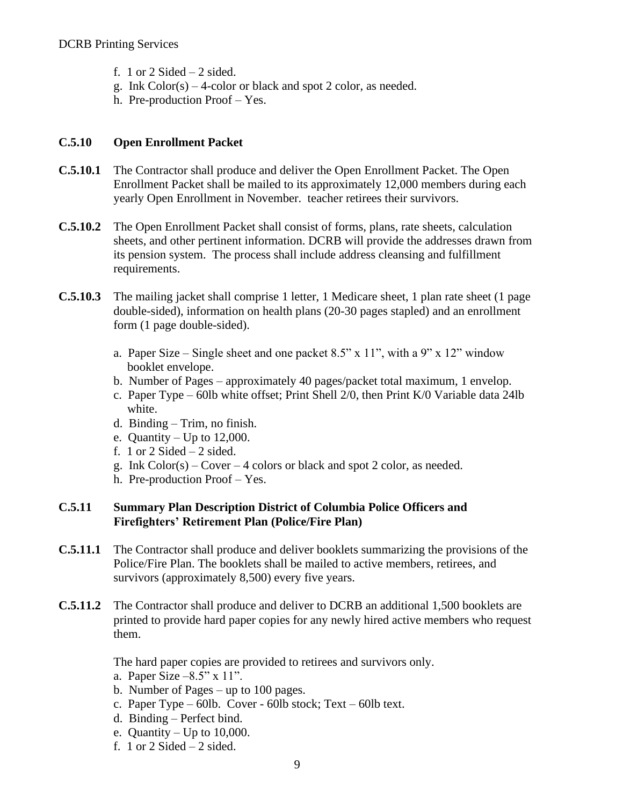- f. 1 or 2 Sided  $-2$  sided.
- g. Ink  $Color(s) 4-color of black and spot 2 color, as needed.$
- h. Pre-production Proof Yes.

### **C.5.10 Open Enrollment Packet**

- **C.5.10.1** The Contractor shall produce and deliver the Open Enrollment Packet. The Open Enrollment Packet shall be mailed to its approximately 12,000 members during each yearly Open Enrollment in November. teacher retirees their survivors.
- **C.5.10.2** The Open Enrollment Packet shall consist of forms, plans, rate sheets, calculation sheets, and other pertinent information. DCRB will provide the addresses drawn from its pension system. The process shall include address cleansing and fulfillment requirements.
- **C.5.10.3** The mailing jacket shall comprise 1 letter, 1 Medicare sheet, 1 plan rate sheet (1 page double-sided), information on health plans (20-30 pages stapled) and an enrollment form (1 page double-sided).
	- a. Paper Size Single sheet and one packet 8.5" x 11", with a 9" x 12" window booklet envelope.
	- b. Number of Pages approximately 40 pages/packet total maximum, 1 envelop.
	- c. Paper Type 60lb white offset; Print Shell 2/0, then Print K/0 Variable data 24lb white.
	- d. Binding Trim, no finish.
	- e. Quantity Up to 12,000.
	- f. 1 or 2 Sided  $-2$  sided.
	- g. Ink Color(s) Cover 4 colors or black and spot 2 color, as needed.
	- h. Pre-production Proof Yes.

### **C.5.11 Summary Plan Description District of Columbia Police Officers and Firefighters' Retirement Plan (Police/Fire Plan)**

- **C.5.11.1** The Contractor shall produce and deliver booklets summarizing the provisions of the Police/Fire Plan. The booklets shall be mailed to active members, retirees, and survivors (approximately 8,500) every five years.
- **C.5.11.2** The Contractor shall produce and deliver to DCRB an additional 1,500 booklets are printed to provide hard paper copies for any newly hired active members who request them.

The hard paper copies are provided to retirees and survivors only.

- a. Paper Size –8.5" x 11".
- b. Number of Pages up to 100 pages.
- c. Paper Type 60lb. Cover 60lb stock; Text 60lb text.
- d. Binding Perfect bind.
- e. Quantity Up to 10,000.
- f. 1 or 2 Sided  $-2$  sided.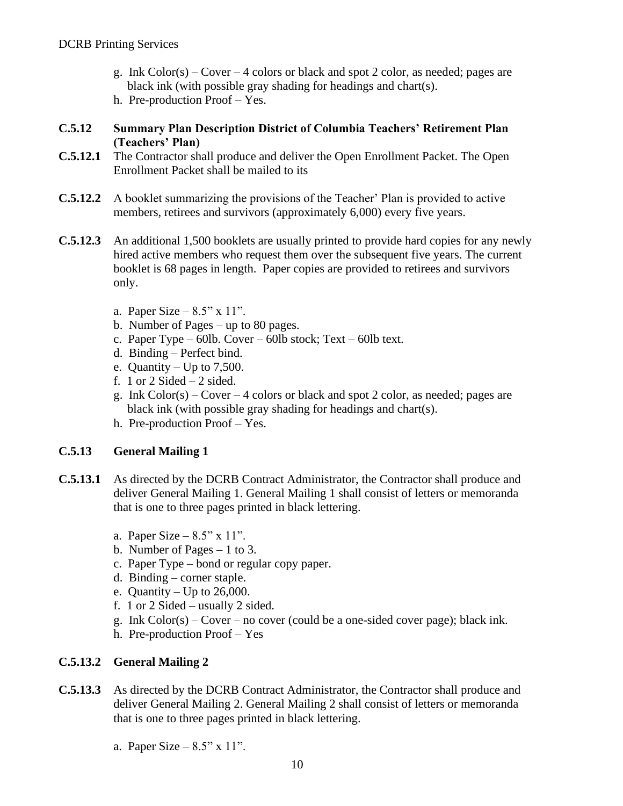- g. Ink  $Color(s) Cover 4 colors or black and spot 2 color, as needed; pages are$ black ink (with possible gray shading for headings and chart(s).
- h. Pre-production Proof Yes.

#### **C.5.12 Summary Plan Description District of Columbia Teachers' Retirement Plan (Teachers' Plan)**

- **C.5.12.1** The Contractor shall produce and deliver the Open Enrollment Packet. The Open Enrollment Packet shall be mailed to its
- **C.5.12.2** A booklet summarizing the provisions of the Teacher' Plan is provided to active members, retirees and survivors (approximately 6,000) every five years.
- **C.5.12.3** An additional 1,500 booklets are usually printed to provide hard copies for any newly hired active members who request them over the subsequent five years. The current booklet is 68 pages in length. Paper copies are provided to retirees and survivors only.
	- a. Paper Size  $8.5"$  x 11".
	- b. Number of Pages up to 80 pages.
	- c. Paper Type 60lb. Cover 60lb stock; Text 60lb text.
	- d. Binding Perfect bind.
	- e. Quantity Up to  $7,500$ .
	- f. 1 or 2 Sided  $-2$  sided.
	- g. Ink  $Color(s) Cover 4 colors or black and spot 2 color, as needed; pages are$ black ink (with possible gray shading for headings and chart(s).
	- h. Pre-production Proof Yes.

### **C.5.13 General Mailing 1**

- **C.5.13.1** As directed by the DCRB Contract Administrator, the Contractor shall produce and deliver General Mailing 1. General Mailing 1 shall consist of letters or memoranda that is one to three pages printed in black lettering.
	- a. Paper Size  $8.5$ " x 11".
	- b. Number of Pages 1 to 3.
	- c. Paper Type bond or regular copy paper.
	- d. Binding corner staple.
	- e. Quantity Up to  $26,000$ .
	- f. 1 or 2 Sided usually 2 sided.
	- g. Ink Color(s) Cover no cover (could be a one-sided cover page); black ink.
	- h. Pre-production Proof Yes

### **C.5.13.2 General Mailing 2**

- **C.5.13.3** As directed by the DCRB Contract Administrator, the Contractor shall produce and deliver General Mailing 2. General Mailing 2 shall consist of letters or memoranda that is one to three pages printed in black lettering.
	- a. Paper Size  $8.5"$  x  $11"$ .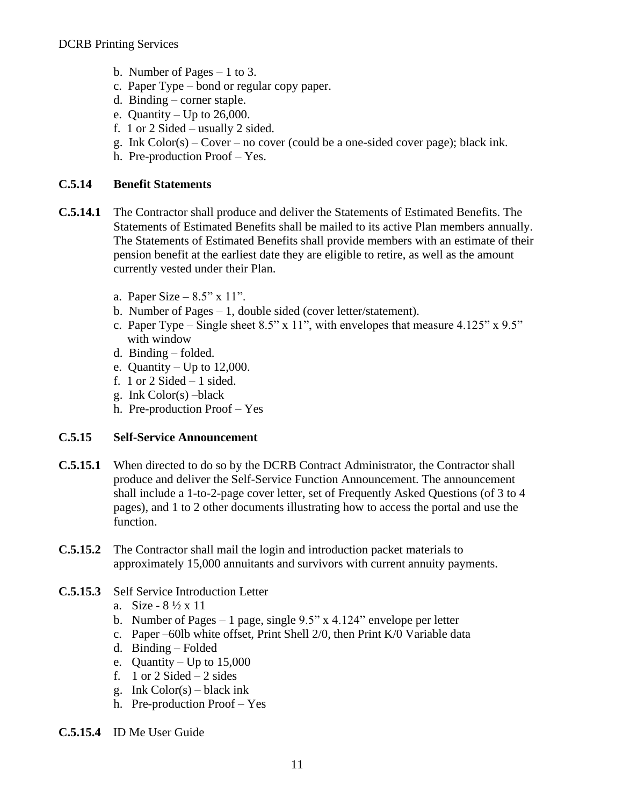- b. Number of Pages 1 to 3.
- c. Paper Type bond or regular copy paper.
- d. Binding corner staple.
- e. Quantity Up to  $26,000$ .
- f. 1 or 2 Sided usually 2 sided.
- g. Ink  $Color(s) Cover no cover (could be a one-sided cover page); black ink.$
- h. Pre-production Proof Yes.

#### **C.5.14 Benefit Statements**

- **C.5.14.1** The Contractor shall produce and deliver the Statements of Estimated Benefits. The Statements of Estimated Benefits shall be mailed to its active Plan members annually. The Statements of Estimated Benefits shall provide members with an estimate of their pension benefit at the earliest date they are eligible to retire, as well as the amount currently vested under their Plan.
	- a. Paper Size  $8.5"$  x  $11"$ .
	- b. Number of Pages 1, double sided (cover letter/statement).
	- c. Paper Type Single sheet  $8.5$ " x 11", with envelopes that measure  $4.125$ " x  $9.5$ " with window
	- d. Binding folded.
	- e. Quantity Up to  $12,000$ .
	- f. 1 or 2 Sided  $-1$  sided.
	- g. Ink Color(s) –black
	- h. Pre-production Proof Yes

#### **C.5.15 Self-Service Announcement**

- **C.5.15.1** When directed to do so by the DCRB Contract Administrator, the Contractor shall produce and deliver the Self-Service Function Announcement. The announcement shall include a 1-to-2-page cover letter, set of Frequently Asked Questions (of 3 to 4 pages), and 1 to 2 other documents illustrating how to access the portal and use the function.
- **C.5.15.2** The Contractor shall mail the login and introduction packet materials to approximately 15,000 annuitants and survivors with current annuity payments.
- **C.5.15.3** Self Service Introduction Letter
	- a. Size  $8\frac{1}{2} \times 11$
	- b. Number of Pages 1 page, single  $9.5$ " x 4.124" envelope per letter
	- c. Paper –60lb white offset, Print Shell 2/0, then Print K/0 Variable data
	- d. Binding Folded
	- e. Quantity Up to 15,000
	- f. 1 or  $2$  Sided  $-2$  sides
	- g. Ink  $Color(s) black ink$
	- h. Pre-production Proof Yes
- **C.5.15.4** ID Me User Guide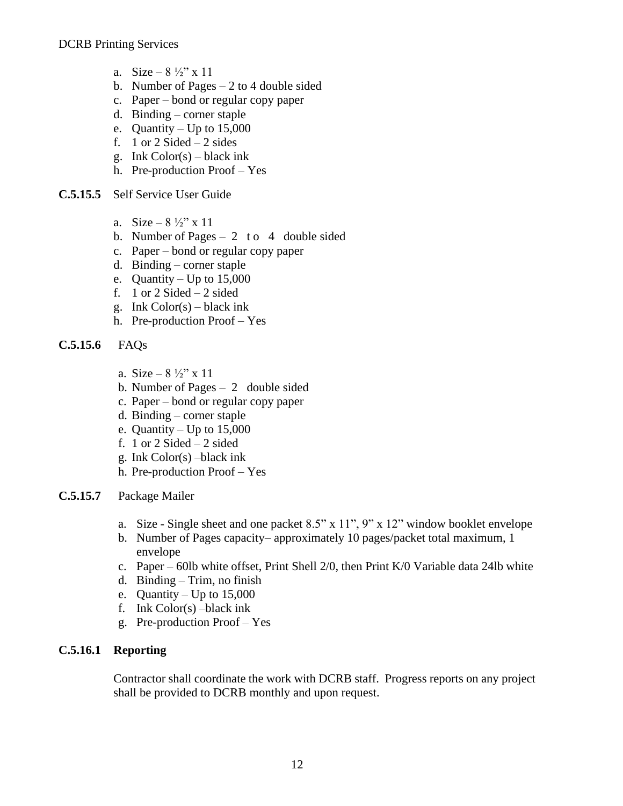- a. Size  $8\frac{1}{2}$ " x 11
- b. Number of Pages 2 to 4 double sided
- c. Paper bond or regular copy paper
- d. Binding corner staple
- e. Quantity Up to  $15,000$
- f. 1 or 2 Sided  $-2$  sides
- g. Ink  $Color(s) black ink$
- h. Pre-production Proof Yes
- **C.5.15.5** Self Service User Guide
	- a. Size  $8\frac{1}{2}$ " x 11
	- b. Number of Pages  $-2$  to 4 double sided
	- c. Paper bond or regular copy paper
	- d. Binding corner staple
	- e. Quantity Up to 15,000
	- f. 1 or  $2$  Sided  $-2$  sided
	- g. Ink  $Color(s) black ink$
	- h. Pre-production Proof Yes
- **C.5.15.6** FAQs
	- a. Size  $8\frac{1}{2}$ " x 11
	- b. Number of Pages 2 double sided
	- c. Paper bond or regular copy paper
	- d. Binding corner staple
	- e. Quantity Up to  $15,000$
	- f. 1 or 2 Sided  $-2$  sided
	- g. Ink Color(s) –black ink
	- h. Pre-production Proof Yes
- **C.5.15.7** Package Mailer
	- a. Size Single sheet and one packet 8.5" x 11", 9" x 12" window booklet envelope
	- b. Number of Pages capacity– approximately 10 pages/packet total maximum, 1 envelope
	- c. Paper 60lb white offset, Print Shell 2/0, then Print K/0 Variable data 24lb white
	- d. Binding Trim, no finish
	- e. Quantity Up to  $15,000$
	- f. Ink Color(s) –black ink
	- g. Pre-production Proof Yes

### **C.5.16.1 Reporting**

Contractor shall coordinate the work with DCRB staff. Progress reports on any project shall be provided to DCRB monthly and upon request.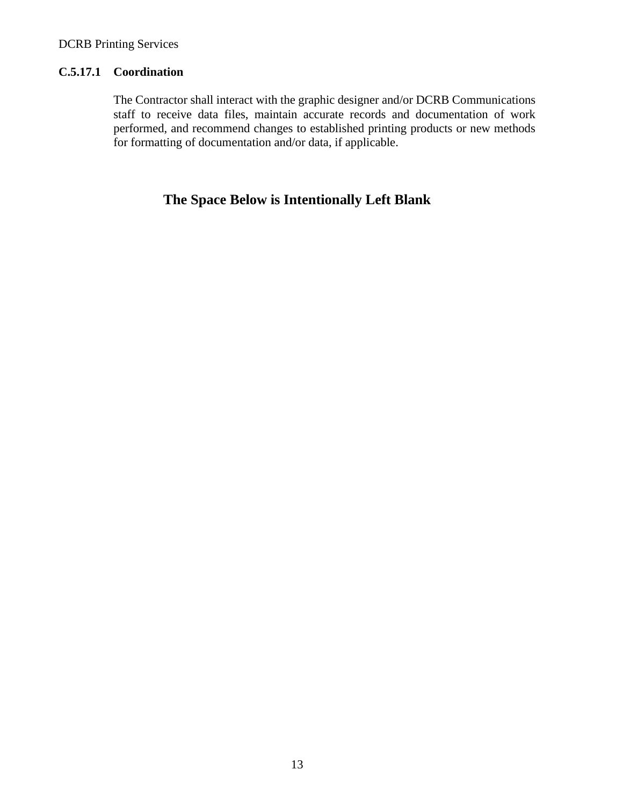#### **C.5.17.1 Coordination**

The Contractor shall interact with the graphic designer and/or DCRB Communications staff to receive data files, maintain accurate records and documentation of work performed, and recommend changes to established printing products or new methods for formatting of documentation and/or data, if applicable.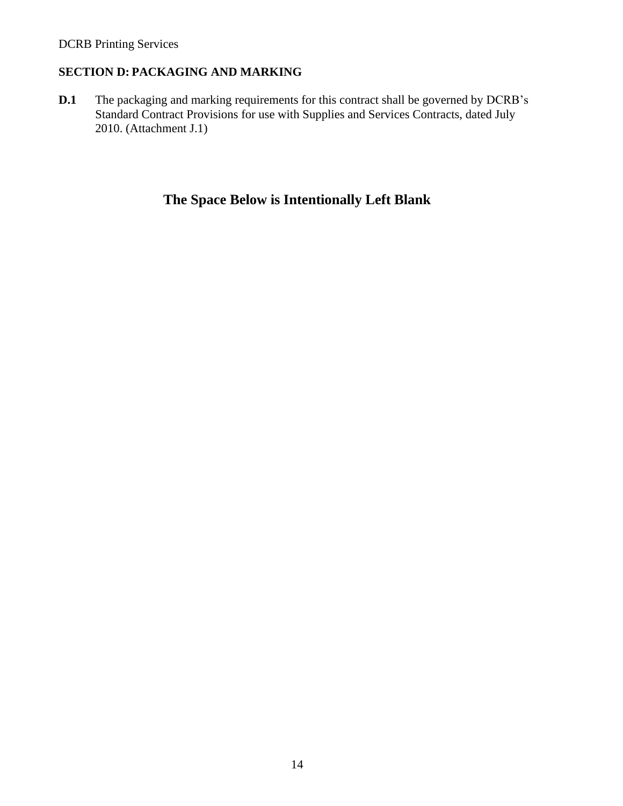### **SECTION D: PACKAGING AND MARKING**

**D.1** The packaging and marking requirements for this contract shall be governed by DCRB's Standard Contract Provisions for use with Supplies and Services Contracts, dated July 2010. (Attachment J.1)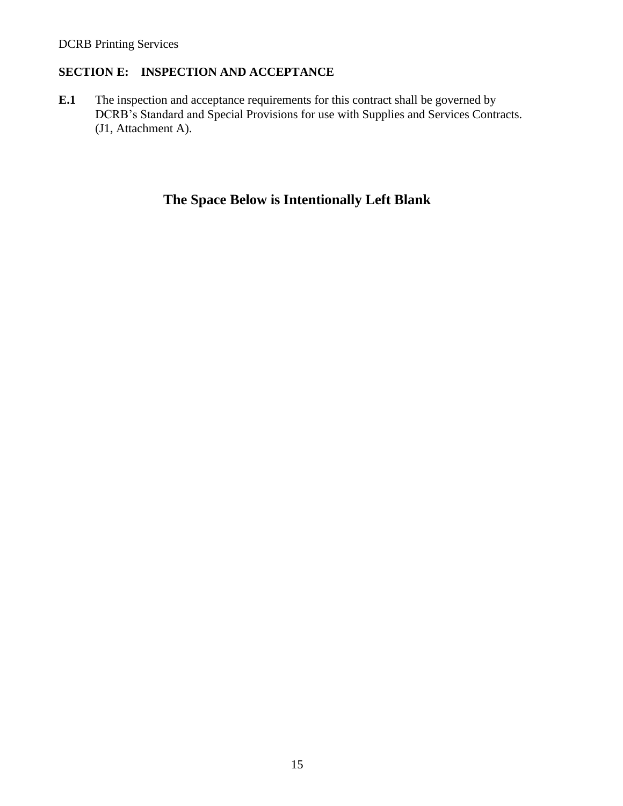### **SECTION E: INSPECTION AND ACCEPTANCE**

**E.1** The inspection and acceptance requirements for this contract shall be governed by DCRB's Standard and Special Provisions for use with Supplies and Services Contracts. (J1, Attachment A).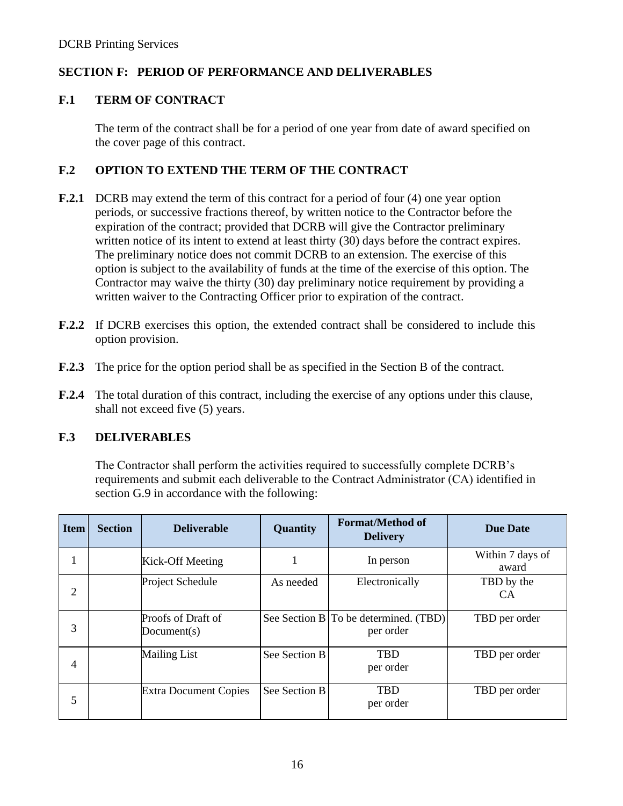### **SECTION F: PERIOD OF PERFORMANCE AND DELIVERABLES**

### **F.1 TERM OF CONTRACT**

The term of the contract shall be for a period of one year from date of award specified on the cover page of this contract.

### **F.2 OPTION TO EXTEND THE TERM OF THE CONTRACT**

- **F.2.1** DCRB may extend the term of this contract for a period of four (4) one year option periods, or successive fractions thereof, by written notice to the Contractor before the expiration of the contract; provided that DCRB will give the Contractor preliminary written notice of its intent to extend at least thirty (30) days before the contract expires. The preliminary notice does not commit DCRB to an extension. The exercise of this option is subject to the availability of funds at the time of the exercise of this option. The Contractor may waive the thirty (30) day preliminary notice requirement by providing a written waiver to the Contracting Officer prior to expiration of the contract.
- **F.2.2** If DCRB exercises this option, the extended contract shall be considered to include this option provision.
- **F.2.3** The price for the option period shall be as specified in the Section B of the contract.
- **F.2.4** The total duration of this contract, including the exercise of any options under this clause, shall not exceed five (5) years.

### **F.3 DELIVERABLES**

The Contractor shall perform the activities required to successfully complete DCRB's requirements and submit each deliverable to the Contract Administrator (CA) identified in section G.9 in accordance with the following:

| <b>Item</b> | <b>Section</b> | <b>Deliverable</b>                | Quantity      | <b>Format/Method of</b><br><b>Delivery</b>         | <b>Due Date</b>           |
|-------------|----------------|-----------------------------------|---------------|----------------------------------------------------|---------------------------|
|             |                | Kick-Off Meeting                  |               | In person                                          | Within 7 days of<br>award |
| 2           |                | Project Schedule                  | As needed     | Electronically                                     | TBD by the<br><b>CA</b>   |
| 3           |                | Proofs of Draft of<br>Document(s) |               | See Section B To be determined. (TBD)<br>per order | TBD per order             |
| 4           |                | <b>Mailing List</b>               | See Section B | <b>TRD</b><br>per order                            | TBD per order             |
| 5           |                | <b>Extra Document Copies</b>      | See Section B | <b>TRD</b><br>per order                            | TBD per order             |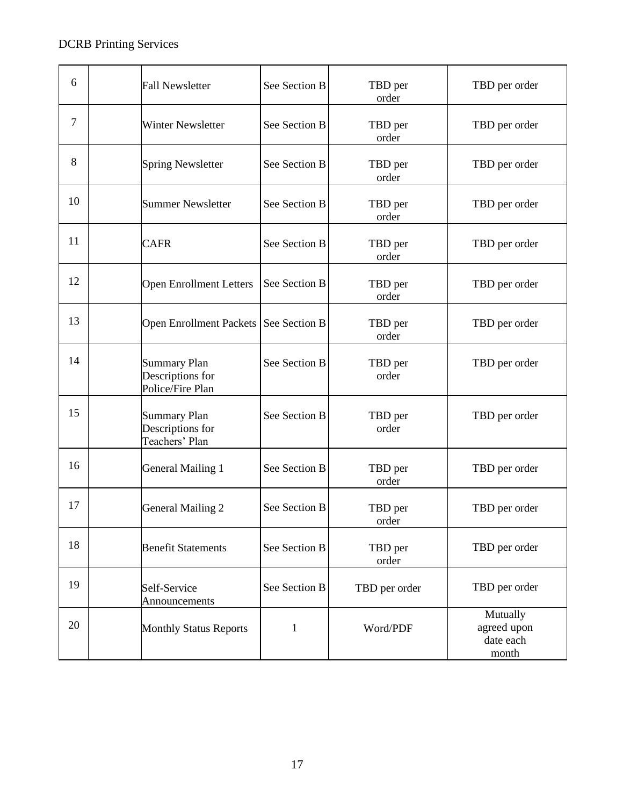| 6      | <b>Fall Newsletter</b>                                      | See Section B | TBD per<br>order | TBD per order                                 |
|--------|-------------------------------------------------------------|---------------|------------------|-----------------------------------------------|
| $\tau$ | <b>Winter Newsletter</b>                                    | See Section B | TBD per<br>order | TBD per order                                 |
| 8      | <b>Spring Newsletter</b>                                    | See Section B | TBD per<br>order | TBD per order                                 |
| 10     | <b>Summer Newsletter</b>                                    | See Section B | TBD per<br>order | TBD per order                                 |
| 11     | <b>CAFR</b>                                                 | See Section B | TBD per<br>order | TBD per order                                 |
| 12     | <b>Open Enrollment Letters</b>                              | See Section B | TBD per<br>order | TBD per order                                 |
| 13     | Open Enrollment Packets   See Section B                     |               | TBD per<br>order | TBD per order                                 |
| 14     | <b>Summary Plan</b><br>Descriptions for<br>Police/Fire Plan | See Section B | TBD per<br>order | TBD per order                                 |
| 15     | <b>Summary Plan</b><br>Descriptions for<br>Teachers' Plan   | See Section B | TBD per<br>order | TBD per order                                 |
| 16     | <b>General Mailing 1</b>                                    | See Section B | TBD per<br>order | TBD per order                                 |
| 17     | <b>General Mailing 2</b>                                    | See Section B | TBD per<br>order | TBD per order                                 |
| 18     | <b>Benefit Statements</b>                                   | See Section B | TBD per<br>order | TBD per order                                 |
| 19     | Self-Service<br>Announcements                               | See Section B | TBD per order    | TBD per order                                 |
| 20     | <b>Monthly Status Reports</b>                               | $\mathbf{1}$  | Word/PDF         | Mutually<br>agreed upon<br>date each<br>month |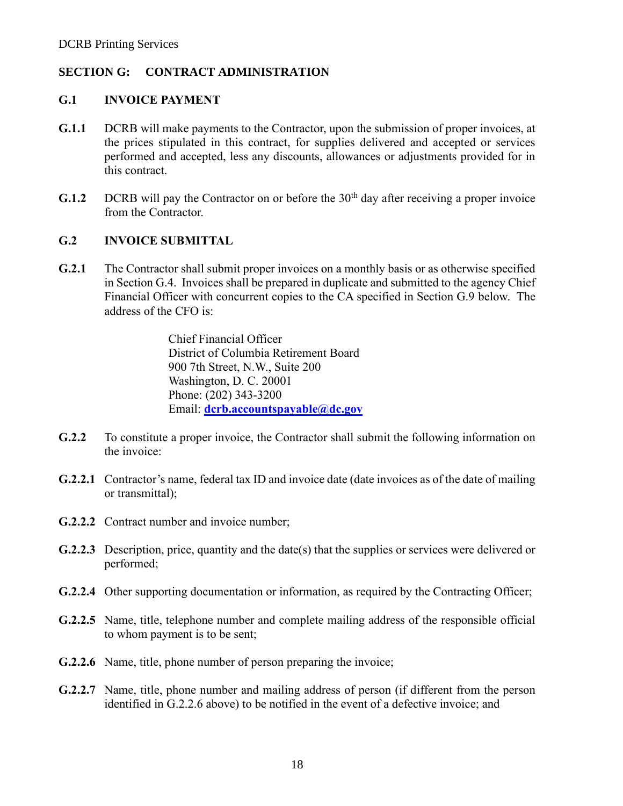### **SECTION G: CONTRACT ADMINISTRATION**

#### **G.1 INVOICE PAYMENT**

- **G.1.1** DCRB will make payments to the Contractor, upon the submission of proper invoices, at the prices stipulated in this contract, for supplies delivered and accepted or services performed and accepted, less any discounts, allowances or adjustments provided for in this contract.
- **G.1.2** DCRB will pay the Contractor on or before the  $30<sup>th</sup>$  day after receiving a proper invoice from the Contractor.

#### **G.2 INVOICE SUBMITTAL**

**G.2.1** The Contractor shall submit proper invoices on a monthly basis or as otherwise specified in Section G.4. Invoices shall be prepared in duplicate and submitted to the agency Chief Financial Officer with concurrent copies to the CA specified in Section G.9 below. The address of the CFO is:

> Chief Financial Officer District of Columbia Retirement Board 900 7th Street, N.W., Suite 200 Washington, D. C. 20001 Phone: (202) 343-3200 Email: **[dcrb.accountspayable@dc.gov](mailto:dcrb.accountspayable@dc.gov)**

- **G.2.2** To constitute a proper invoice, the Contractor shall submit the following information on the invoice:
- **G.2.2.1** Contractor's name, federal tax ID and invoice date (date invoices as of the date of mailing or transmittal);
- **G.2.2.2** Contract number and invoice number;
- **G.2.2.3** Description, price, quantity and the date(s) that the supplies or services were delivered or performed;
- **G.2.2.4** Other supporting documentation or information, as required by the Contracting Officer;
- **G.2.2.5** Name, title, telephone number and complete mailing address of the responsible official to whom payment is to be sent;
- **G.2.2.6** Name, title, phone number of person preparing the invoice;
- **G.2.2.7** Name, title, phone number and mailing address of person (if different from the person identified in G.2.2.6 above) to be notified in the event of a defective invoice; and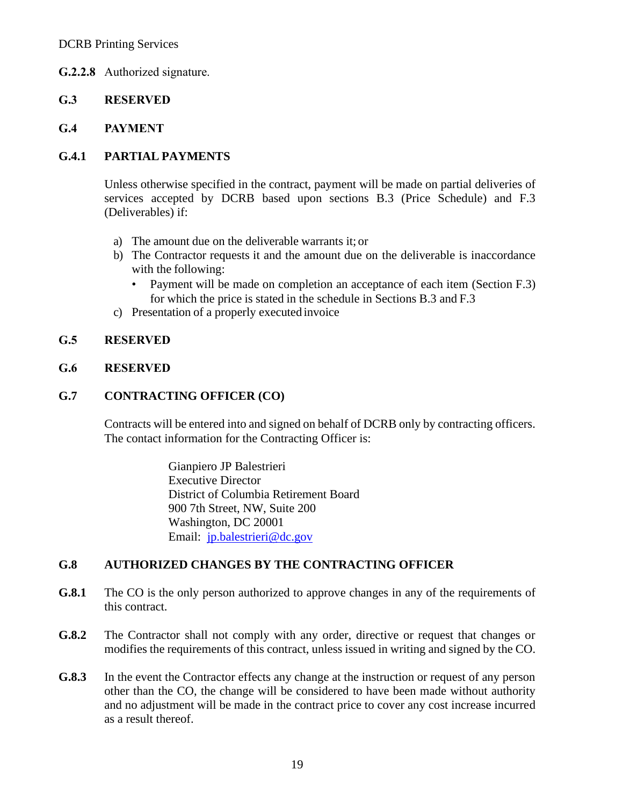### **G.2.2.8** Authorized signature.

### **G.3 RESERVED**

#### **G.4 PAYMENT**

#### **G.4.1 PARTIAL PAYMENTS**

Unless otherwise specified in the contract, payment will be made on partial deliveries of services accepted by DCRB based upon sections B.3 (Price Schedule) and F.3 (Deliverables) if:

- a) The amount due on the deliverable warrants it; or
- b) The Contractor requests it and the amount due on the deliverable is inaccordance with the following:
	- Payment will be made on completion an acceptance of each item (Section F.3) for which the price is stated in the schedule in Sections B.3 and F.3
- c) Presentation of a properly executed invoice

#### **G.5 RESERVED**

#### **G.6 RESERVED**

#### **G.7 CONTRACTING OFFICER (CO)**

Contracts will be entered into and signed on behalf of DCRB only by contracting officers. The contact information for the Contracting Officer is:

> Gianpiero JP Balestrieri Executive Director District of Columbia Retirement Board 900 7th Street, NW, Suite 200 Washington, DC 20001 Email: [jp.balestrieri@dc.gov](mailto:jp.balestrieri@dc.gov)

### **G.8 AUTHORIZED CHANGES BY THE CONTRACTING OFFICER**

- **G.8.1** The CO is the only person authorized to approve changes in any of the requirements of this contract.
- **G.8.2** The Contractor shall not comply with any order, directive or request that changes or modifies the requirements of this contract, unless issued in writing and signed by the CO.
- **G.8.3** In the event the Contractor effects any change at the instruction or request of any person other than the CO, the change will be considered to have been made without authority and no adjustment will be made in the contract price to cover any cost increase incurred as a result thereof.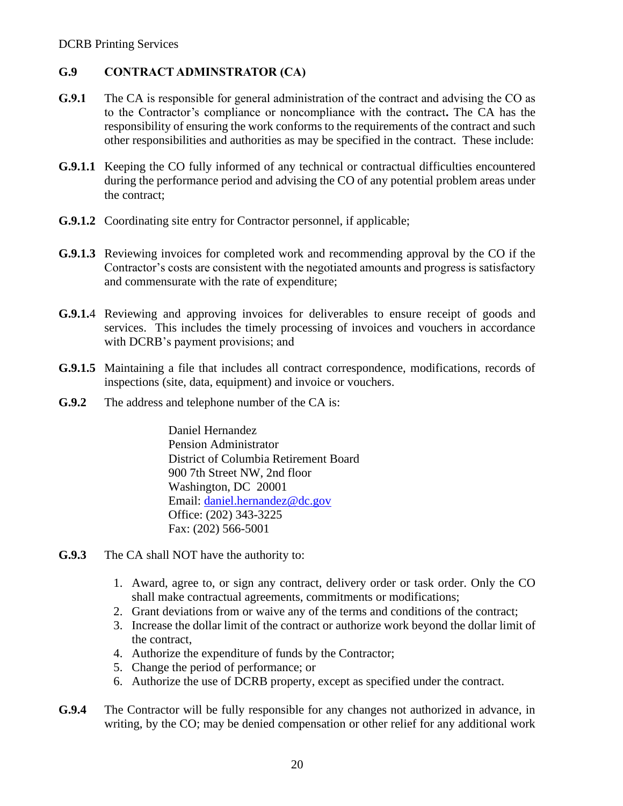### **G.9 CONTRACT ADMINSTRATOR (CA)**

- **G.9.1** The CA is responsible for general administration of the contract and advising the CO as to the Contractor's compliance or noncompliance with the contract**.** The CA has the responsibility of ensuring the work conforms to the requirements of the contract and such other responsibilities and authorities as may be specified in the contract. These include:
- **G.9.1.1** Keeping the CO fully informed of any technical or contractual difficulties encountered during the performance period and advising the CO of any potential problem areas under the contract;
- **G.9.1.2** Coordinating site entry for Contractor personnel, if applicable;
- **G.9.1.3** Reviewing invoices for completed work and recommending approval by the CO if the Contractor's costs are consistent with the negotiated amounts and progress is satisfactory and commensurate with the rate of expenditure;
- **G.9.1.**4 Reviewing and approving invoices for deliverables to ensure receipt of goods and services. This includes the timely processing of invoices and vouchers in accordance with DCRB's payment provisions; and
- **G.9.1.5** Maintaining a file that includes all contract correspondence, modifications, records of inspections (site, data, equipment) and invoice or vouchers.
- **G.9.2** The address and telephone number of the CA is:

Daniel Hernandez Pension Administrator District of Columbia Retirement Board 900 7th Street NW, 2nd floor Washington, DC 20001 Email: [daniel.hernandez@dc.gov](mailto:daniel.hernandez@dc.gov) Office: (202) 343-3225 Fax: (202) 566-5001

- **G.9.3** The CA shall NOT have the authority to:
	- 1. Award, agree to, or sign any contract, delivery order or task order. Only the CO shall make contractual agreements, commitments or modifications;
	- 2. Grant deviations from or waive any of the terms and conditions of the contract;
	- 3. Increase the dollar limit of the contract or authorize work beyond the dollar limit of the contract,
	- 4. Authorize the expenditure of funds by the Contractor;
	- 5. Change the period of performance; or
	- 6. Authorize the use of DCRB property, except as specified under the contract.
- **G.9.4** The Contractor will be fully responsible for any changes not authorized in advance, in writing, by the CO; may be denied compensation or other relief for any additional work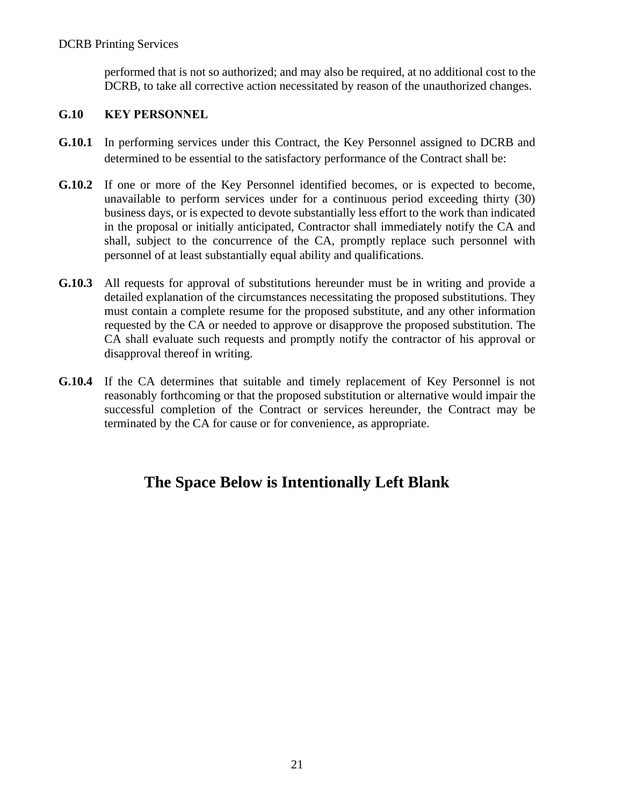performed that is not so authorized; and may also be required, at no additional cost to the DCRB, to take all corrective action necessitated by reason of the unauthorized changes.

### **G.10 KEY PERSONNEL**

- **G.10.1** In performing services under this Contract, the Key Personnel assigned to DCRB and determined to be essential to the satisfactory performance of the Contract shall be:
- **G.10.2** If one or more of the Key Personnel identified becomes, or is expected to become, unavailable to perform services under for a continuous period exceeding thirty (30) business days, or is expected to devote substantially less effort to the work than indicated in the proposal or initially anticipated, Contractor shall immediately notify the CA and shall, subject to the concurrence of the CA, promptly replace such personnel with personnel of at least substantially equal ability and qualifications.
- **G.10.3** All requests for approval of substitutions hereunder must be in writing and provide a detailed explanation of the circumstances necessitating the proposed substitutions. They must contain a complete resume for the proposed substitute, and any other information requested by the CA or needed to approve or disapprove the proposed substitution. The CA shall evaluate such requests and promptly notify the contractor of his approval or disapproval thereof in writing.
- **G.10.4** If the CA determines that suitable and timely replacement of Key Personnel is not reasonably forthcoming or that the proposed substitution or alternative would impair the successful completion of the Contract or services hereunder, the Contract may be terminated by the CA for cause or for convenience, as appropriate.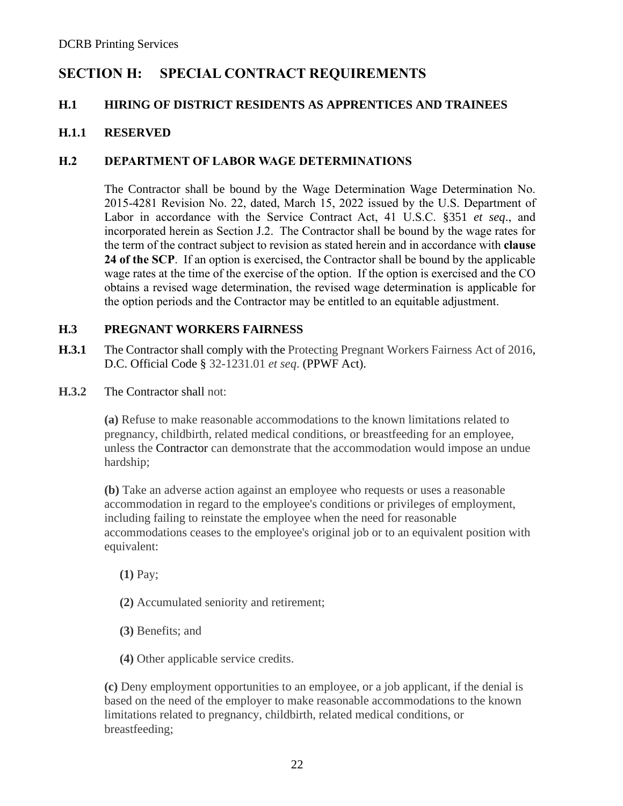# **SECTION H: SPECIAL CONTRACT REQUIREMENTS**

### **H.1 HIRING OF DISTRICT RESIDENTS AS APPRENTICES AND TRAINEES**

### **H.1.1 RESERVED**

### **H.2 DEPARTMENT OF LABOR WAGE DETERMINATIONS**

The Contractor shall be bound by the Wage Determination Wage Determination No. 2015-4281 Revision No. 22, dated, March 15, 2022 issued by the U.S. Department of Labor in accordance with the Service Contract Act, 41 U.S.C. §351 *et seq*., and incorporated herein as Section J.2. The Contractor shall be bound by the wage rates for the term of the contract subject to revision as stated herein and in accordance with **clause 24 of the SCP**. If an option is exercised, the Contractor shall be bound by the applicable wage rates at the time of the exercise of the option. If the option is exercised and the CO obtains a revised wage determination, the revised wage determination is applicable for the option periods and the Contractor may be entitled to an equitable adjustment.

### **H.3 PREGNANT WORKERS FAIRNESS**

- **H.3.1** The Contractor shall comply with the Protecting Pregnant Workers Fairness Act of 2016, D.C. Official Code § 32-1231.01 *et seq*. (PPWF Act).
- **H.3.2** The Contractor shall not:

**(a)** Refuse to make reasonable accommodations to the known limitations related to pregnancy, childbirth, related medical conditions, or breastfeeding for an employee, unless the Contractor can demonstrate that the accommodation would impose an undue hardship;

**(b)** Take an adverse action against an employee who requests or uses a reasonable accommodation in regard to the employee's conditions or privileges of employment, including failing to reinstate the employee when the need for reasonable accommodations ceases to the employee's original job or to an equivalent position with equivalent:

**(1)** Pay;

- **(2)** Accumulated seniority and retirement;
- **(3)** Benefits; and
- **(4)** Other applicable service credits.

**(c)** Deny employment opportunities to an employee, or a job applicant, if the denial is based on the need of the employer to make reasonable accommodations to the known limitations related to pregnancy, childbirth, related medical conditions, or breastfeeding;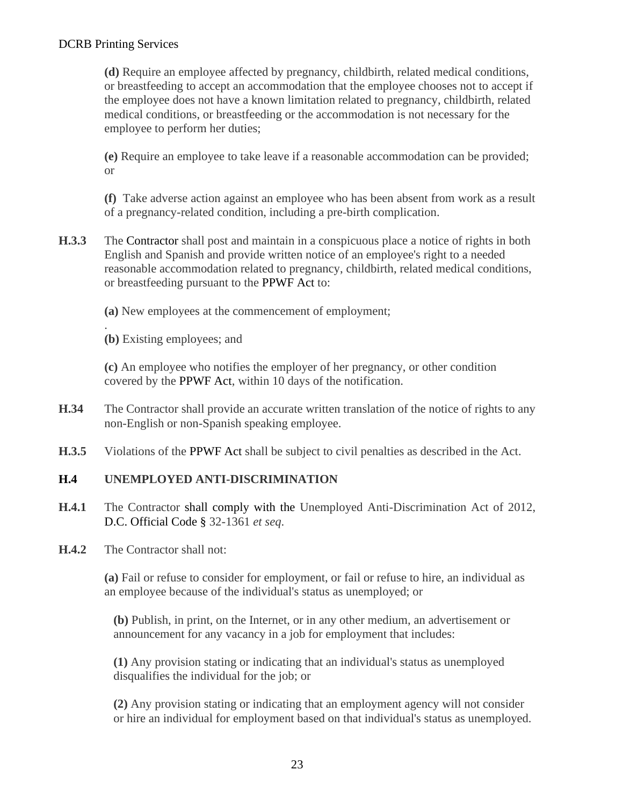**(d)** Require an employee affected by pregnancy, childbirth, related medical conditions, or breastfeeding to accept an accommodation that the employee chooses not to accept if the employee does not have a known limitation related to pregnancy, childbirth, related medical conditions, or breastfeeding or the accommodation is not necessary for the employee to perform her duties;

**(e)** Require an employee to take leave if a reasonable accommodation can be provided; or

**(f)** Take adverse action against an employee who has been absent from work as a result of a pregnancy-related condition, including a pre-birth complication.

- **H.3.3** The Contractor shall post and maintain in a conspicuous place a notice of rights in both English and Spanish and provide written notice of an employee's right to a needed reasonable accommodation related to pregnancy, childbirth, related medical conditions, or breastfeeding pursuant to the PPWF Act to:
	- **(a)** New employees at the commencement of employment;

. **(b)** Existing employees; and

**(c)** An employee who notifies the employer of her pregnancy, or other condition covered by the PPWF Act, within 10 days of the notification.

- **H.34** The Contractor shall provide an accurate written translation of the notice of rights to any non-English or non-Spanish speaking employee.
- **H.3.5** Violations of the PPWF Act shall be subject to civil penalties as described in the Act.

### **H.4 UNEMPLOYED ANTI-DISCRIMINATION**

- **H.4.1** The Contractor shall comply with the Unemployed Anti-Discrimination Act of 2012, D.C. Official Code § 32-1361 *et seq*.
- **H.4.2** The Contractor shall not:

**(a)** Fail or refuse to consider for employment, or fail or refuse to hire, an individual as an employee because of the individual's status as unemployed; or

**(b)** Publish, in print, on the Internet, or in any other medium, an advertisement or announcement for any vacancy in a job for employment that includes:

**(1)** Any provision stating or indicating that an individual's status as unemployed disqualifies the individual for the job; or

**(2)** Any provision stating or indicating that an employment agency will not consider or hire an individual for employment based on that individual's status as unemployed.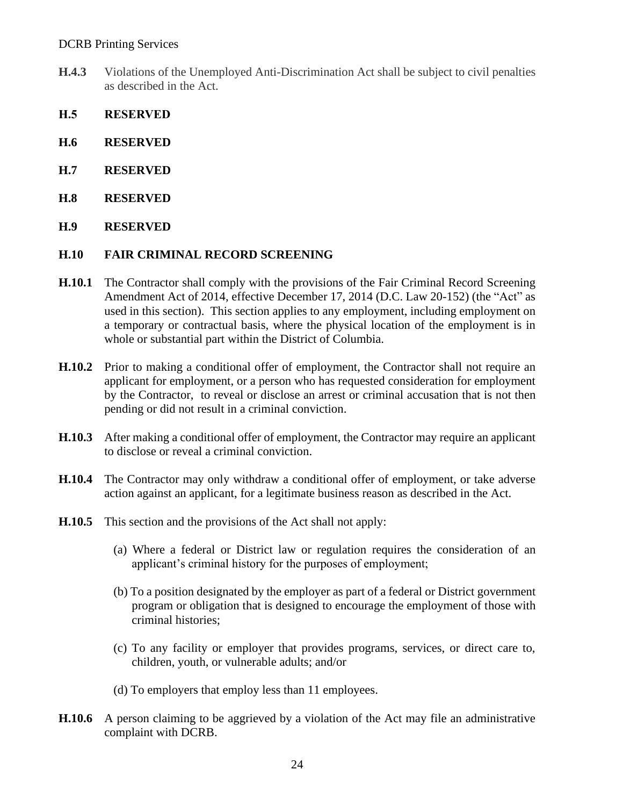- **H.4.3** Violations of the Unemployed Anti-Discrimination Act shall be subject to civil penalties as described in the Act.
- **H.5 RESERVED**
- **H.6 RESERVED**
- **H.7 RESERVED**
- **H.8 RESERVED**
- **H.9 RESERVED**

#### **H.10 FAIR CRIMINAL RECORD SCREENING**

- **H.10.1** The Contractor shall comply with the provisions of the Fair Criminal Record Screening Amendment Act of 2014, effective December 17, 2014 (D.C. Law 20-152) (the "Act" as used in this section). This section applies to any employment, including employment on a temporary or contractual basis, where the physical location of the employment is in whole or substantial part within the District of Columbia.
- **H.10.2** Prior to making a conditional offer of employment, the Contractor shall not require an applicant for employment, or a person who has requested consideration for employment by the Contractor, to reveal or disclose an arrest or criminal accusation that is not then pending or did not result in a criminal conviction.
- **H.10.3** After making a conditional offer of employment, the Contractor may require an applicant to disclose or reveal a criminal conviction.
- **H.10.4** The Contractor may only withdraw a conditional offer of employment, or take adverse action against an applicant, for a legitimate business reason as described in the Act.
- **H.10.5** This section and the provisions of the Act shall not apply:
	- (a) Where a federal or District law or regulation requires the consideration of an applicant's criminal history for the purposes of employment;
	- (b) To a position designated by the employer as part of a federal or District government program or obligation that is designed to encourage the employment of those with criminal histories;
	- (c) To any facility or employer that provides programs, services, or direct care to, children, youth, or vulnerable adults; and/or
	- (d) To employers that employ less than 11 employees.
- **H.10.6** A person claiming to be aggrieved by a violation of the Act may file an administrative complaint with DCRB.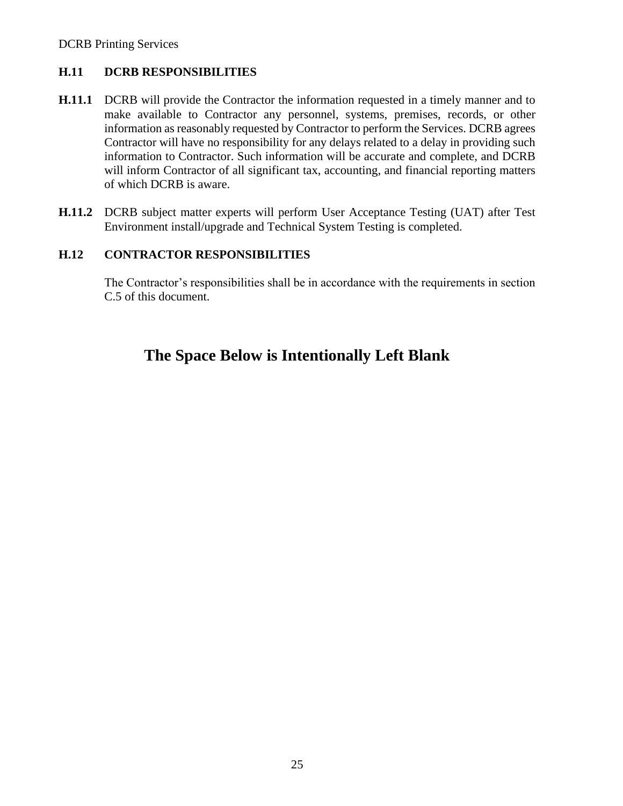### **H.11 DCRB RESPONSIBILITIES**

- **H.11.1** DCRB will provide the Contractor the information requested in a timely manner and to make available to Contractor any personnel, systems, premises, records, or other information as reasonably requested by Contractor to perform the Services. DCRB agrees Contractor will have no responsibility for any delays related to a delay in providing such information to Contractor. Such information will be accurate and complete, and DCRB will inform Contractor of all significant tax, accounting, and financial reporting matters of which DCRB is aware.
- **H.11.2** DCRB subject matter experts will perform User Acceptance Testing (UAT) after Test Environment install/upgrade and Technical System Testing is completed.

### **H.12 CONTRACTOR RESPONSIBILITIES**

The Contractor's responsibilities shall be in accordance with the requirements in section C.5 of this document.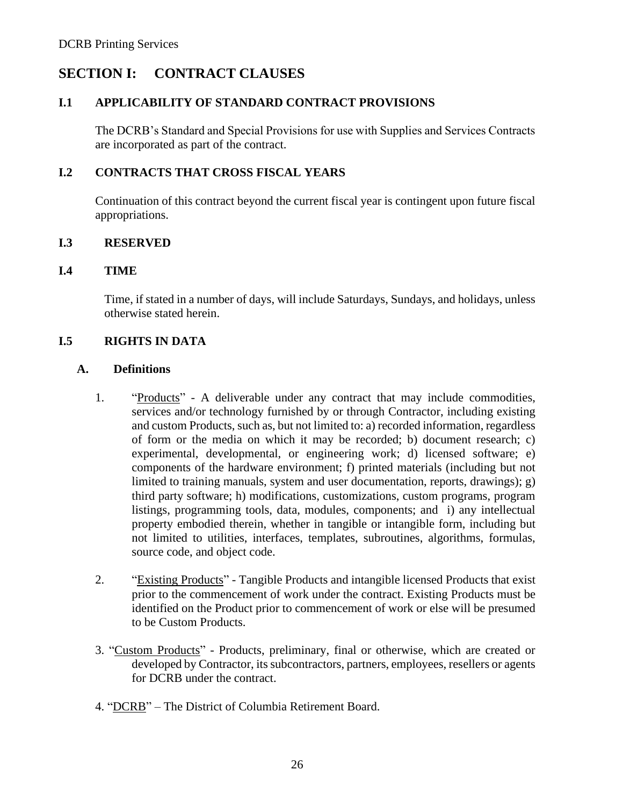# **SECTION I: CONTRACT CLAUSES**

#### **I.1 APPLICABILITY OF STANDARD CONTRACT PROVISIONS**

The DCRB's Standard and Special Provisions for use with Supplies and Services Contracts are incorporated as part of the contract.

#### **I.2 CONTRACTS THAT CROSS FISCAL YEARS**

Continuation of this contract beyond the current fiscal year is contingent upon future fiscal appropriations.

#### **I.3 RESERVED**

#### **I.4 TIME**

Time, if stated in a number of days, will include Saturdays, Sundays, and holidays, unless otherwise stated herein.

#### **I.5 RIGHTS IN DATA**

#### **A. Definitions**

- 1. "Products" A deliverable under any contract that may include commodities, services and/or technology furnished by or through Contractor, including existing and custom Products, such as, but not limited to: a) recorded information, regardless of form or the media on which it may be recorded; b) document research; c) experimental, developmental, or engineering work; d) licensed software; e) components of the hardware environment; f) printed materials (including but not limited to training manuals, system and user documentation, reports, drawings); g) third party software; h) modifications, customizations, custom programs, program listings, programming tools, data, modules, components; and i) any intellectual property embodied therein, whether in tangible or intangible form, including but not limited to utilities, interfaces, templates, subroutines, algorithms, formulas, source code, and object code.
- 2. "Existing Products" Tangible Products and intangible licensed Products that exist prior to the commencement of work under the contract. Existing Products must be identified on the Product prior to commencement of work or else will be presumed to be Custom Products.
- 3. "Custom Products" Products, preliminary, final or otherwise, which are created or developed by Contractor, its subcontractors, partners, employees, resellers or agents for DCRB under the contract.
- 4. "DCRB" The District of Columbia Retirement Board.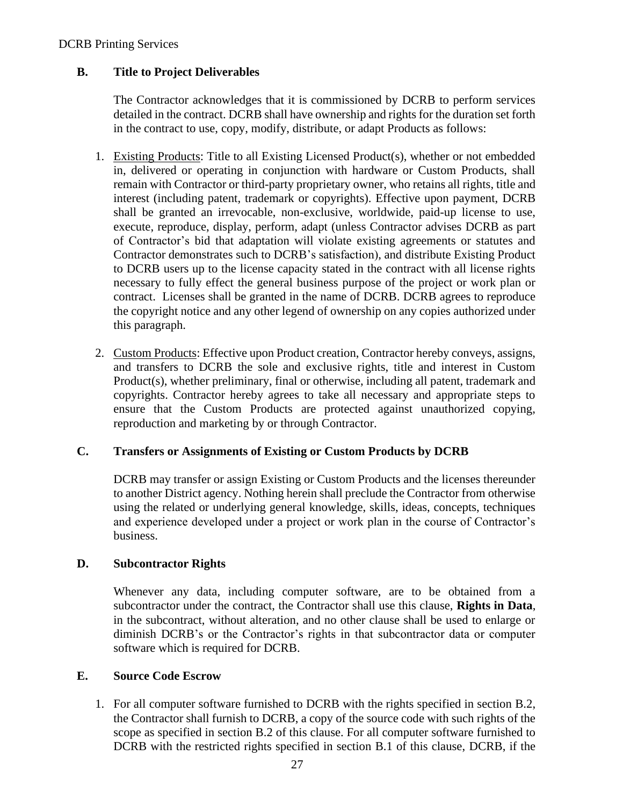#### DCRB Printing Services

#### **B. Title to Project Deliverables**

The Contractor acknowledges that it is commissioned by DCRB to perform services detailed in the contract. DCRB shall have ownership and rights for the duration set forth in the contract to use, copy, modify, distribute, or adapt Products as follows:

- 1. Existing Products: Title to all Existing Licensed Product(s), whether or not embedded in, delivered or operating in conjunction with hardware or Custom Products, shall remain with Contractor or third-party proprietary owner, who retains all rights, title and interest (including patent, trademark or copyrights). Effective upon payment, DCRB shall be granted an irrevocable, non-exclusive, worldwide, paid-up license to use, execute, reproduce, display, perform, adapt (unless Contractor advises DCRB as part of Contractor's bid that adaptation will violate existing agreements or statutes and Contractor demonstrates such to DCRB's satisfaction), and distribute Existing Product to DCRB users up to the license capacity stated in the contract with all license rights necessary to fully effect the general business purpose of the project or work plan or contract. Licenses shall be granted in the name of DCRB. DCRB agrees to reproduce the copyright notice and any other legend of ownership on any copies authorized under this paragraph.
- 2. Custom Products: Effective upon Product creation, Contractor hereby conveys, assigns, and transfers to DCRB the sole and exclusive rights, title and interest in Custom Product(s), whether preliminary, final or otherwise, including all patent, trademark and copyrights. Contractor hereby agrees to take all necessary and appropriate steps to ensure that the Custom Products are protected against unauthorized copying, reproduction and marketing by or through Contractor.

#### **C. Transfers or Assignments of Existing or Custom Products by DCRB**

DCRB may transfer or assign Existing or Custom Products and the licenses thereunder to another District agency. Nothing herein shall preclude the Contractor from otherwise using the related or underlying general knowledge, skills, ideas, concepts, techniques and experience developed under a project or work plan in the course of Contractor's business.

#### **D. Subcontractor Rights**

Whenever any data, including computer software, are to be obtained from a subcontractor under the contract, the Contractor shall use this clause, **Rights in Data**, in the subcontract, without alteration, and no other clause shall be used to enlarge or diminish DCRB's or the Contractor's rights in that subcontractor data or computer software which is required for DCRB.

#### **E. Source Code Escrow**

1. For all computer software furnished to DCRB with the rights specified in section B.2, the Contractor shall furnish to DCRB, a copy of the source code with such rights of the scope as specified in section B.2 of this clause. For all computer software furnished to DCRB with the restricted rights specified in section B.1 of this clause, DCRB, if the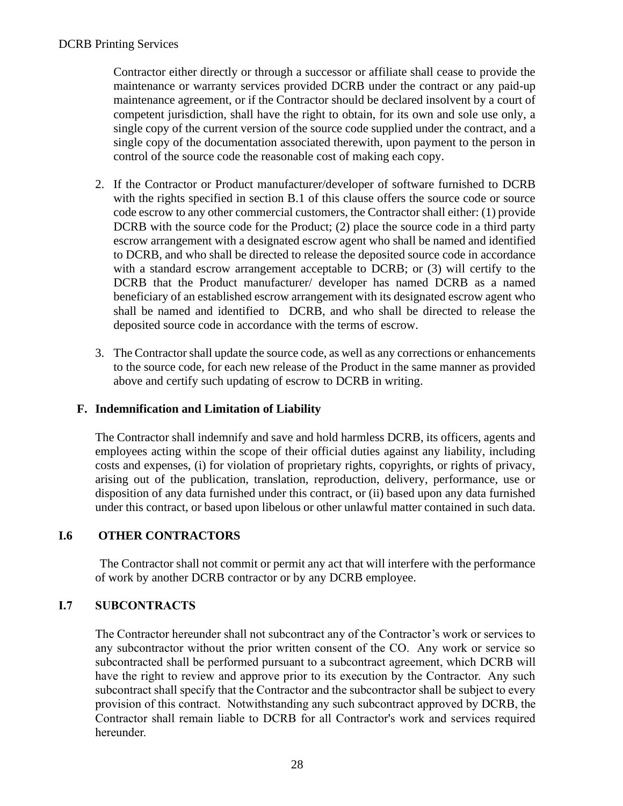Contractor either directly or through a successor or affiliate shall cease to provide the maintenance or warranty services provided DCRB under the contract or any paid-up maintenance agreement, or if the Contractor should be declared insolvent by a court of competent jurisdiction, shall have the right to obtain, for its own and sole use only, a single copy of the current version of the source code supplied under the contract, and a single copy of the documentation associated therewith, upon payment to the person in control of the source code the reasonable cost of making each copy.

- 2. If the Contractor or Product manufacturer/developer of software furnished to DCRB with the rights specified in section B.1 of this clause offers the source code or source code escrow to any other commercial customers, the Contractor shall either: (1) provide DCRB with the source code for the Product; (2) place the source code in a third party escrow arrangement with a designated escrow agent who shall be named and identified to DCRB, and who shall be directed to release the deposited source code in accordance with a standard escrow arrangement acceptable to DCRB; or  $(3)$  will certify to the DCRB that the Product manufacturer/ developer has named DCRB as a named beneficiary of an established escrow arrangement with its designated escrow agent who shall be named and identified to DCRB, and who shall be directed to release the deposited source code in accordance with the terms of escrow.
- 3. The Contractor shall update the source code, as well as any corrections or enhancements to the source code, for each new release of the Product in the same manner as provided above and certify such updating of escrow to DCRB in writing.

#### **F. Indemnification and Limitation of Liability**

The Contractor shall indemnify and save and hold harmless DCRB, its officers, agents and employees acting within the scope of their official duties against any liability, including costs and expenses, (i) for violation of proprietary rights, copyrights, or rights of privacy, arising out of the publication, translation, reproduction, delivery, performance, use or disposition of any data furnished under this contract, or (ii) based upon any data furnished under this contract, or based upon libelous or other unlawful matter contained in such data.

### **I.6 OTHER CONTRACTORS**

The Contractor shall not commit or permit any act that will interfere with the performance of work by another DCRB contractor or by any DCRB employee.

#### **I.7 SUBCONTRACTS**

The Contractor hereunder shall not subcontract any of the Contractor's work or services to any subcontractor without the prior written consent of the CO. Any work or service so subcontracted shall be performed pursuant to a subcontract agreement, which DCRB will have the right to review and approve prior to its execution by the Contractor. Any such subcontract shall specify that the Contractor and the subcontractor shall be subject to every provision of this contract. Notwithstanding any such subcontract approved by DCRB, the Contractor shall remain liable to DCRB for all Contractor's work and services required hereunder.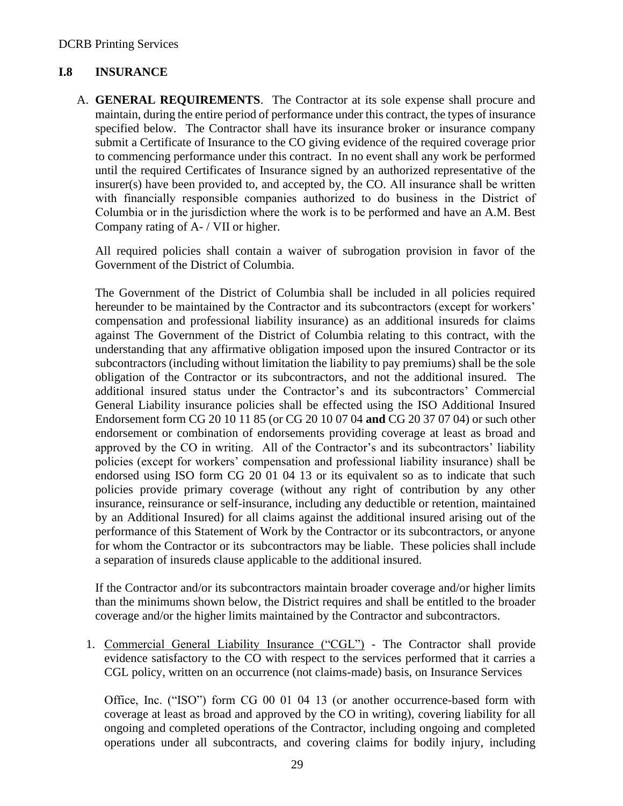### **I.8 INSURANCE**

A. **GENERAL REQUIREMENTS**. The Contractor at its sole expense shall procure and maintain, during the entire period of performance under this contract, the types of insurance specified below. The Contractor shall have its insurance broker or insurance company submit a Certificate of Insurance to the CO giving evidence of the required coverage prior to commencing performance under this contract. In no event shall any work be performed until the required Certificates of Insurance signed by an authorized representative of the insurer(s) have been provided to, and accepted by, the CO. All insurance shall be written with financially responsible companies authorized to do business in the District of Columbia or in the jurisdiction where the work is to be performed and have an A.M. Best Company rating of A- / VII or higher.

All required policies shall contain a waiver of subrogation provision in favor of the Government of the District of Columbia.

The Government of the District of Columbia shall be included in all policies required hereunder to be maintained by the Contractor and its subcontractors (except for workers' compensation and professional liability insurance) as an additional insureds for claims against The Government of the District of Columbia relating to this contract, with the understanding that any affirmative obligation imposed upon the insured Contractor or its subcontractors (including without limitation the liability to pay premiums) shall be the sole obligation of the Contractor or its subcontractors, and not the additional insured. The additional insured status under the Contractor's and its subcontractors' Commercial General Liability insurance policies shall be effected using the ISO Additional Insured Endorsement form CG 20 10 11 85 (or CG 20 10 07 04 **and** CG 20 37 07 04) or such other endorsement or combination of endorsements providing coverage at least as broad and approved by the CO in writing. All of the Contractor's and its subcontractors' liability policies (except for workers' compensation and professional liability insurance) shall be endorsed using ISO form CG 20 01 04 13 or its equivalent so as to indicate that such policies provide primary coverage (without any right of contribution by any other insurance, reinsurance or self-insurance, including any deductible or retention, maintained by an Additional Insured) for all claims against the additional insured arising out of the performance of this Statement of Work by the Contractor or its subcontractors, or anyone for whom the Contractor or its subcontractors may be liable. These policies shall include a separation of insureds clause applicable to the additional insured.

If the Contractor and/or its subcontractors maintain broader coverage and/or higher limits than the minimums shown below, the District requires and shall be entitled to the broader coverage and/or the higher limits maintained by the Contractor and subcontractors.

1. Commercial General Liability Insurance ("CGL") - The Contractor shall provide evidence satisfactory to the CO with respect to the services performed that it carries a CGL policy, written on an occurrence (not claims-made) basis, on Insurance Services

Office, Inc. ("ISO") form CG 00 01 04 13 (or another occurrence-based form with coverage at least as broad and approved by the CO in writing), covering liability for all ongoing and completed operations of the Contractor, including ongoing and completed operations under all subcontracts, and covering claims for bodily injury, including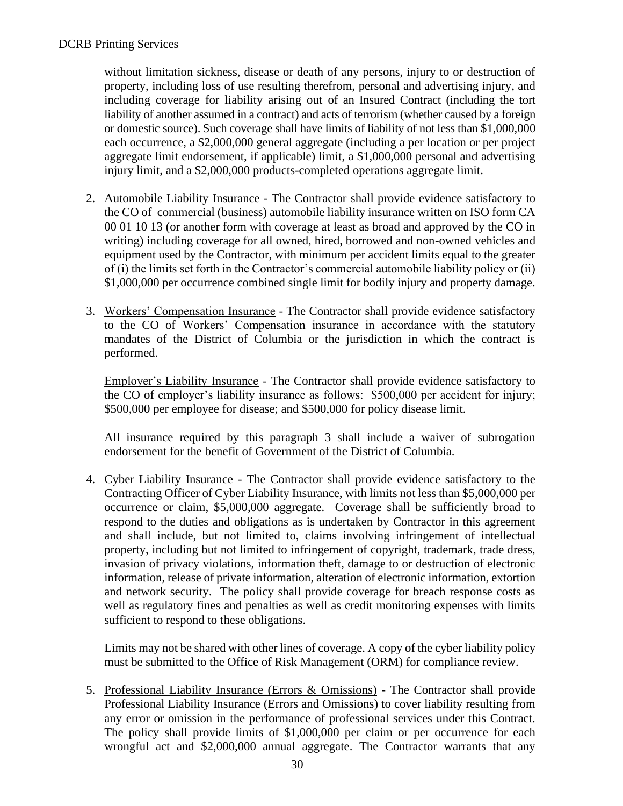without limitation sickness, disease or death of any persons, injury to or destruction of property, including loss of use resulting therefrom, personal and advertising injury, and including coverage for liability arising out of an Insured Contract (including the tort liability of another assumed in a contract) and acts of terrorism (whether caused by a foreign or domestic source). Such coverage shall have limits of liability of not less than \$1,000,000 each occurrence, a \$2,000,000 general aggregate (including a per location or per project aggregate limit endorsement, if applicable) limit, a \$1,000,000 personal and advertising injury limit, and a \$2,000,000 products-completed operations aggregate limit.

- 2. Automobile Liability Insurance The Contractor shall provide evidence satisfactory to the CO of commercial (business) automobile liability insurance written on ISO form CA 00 01 10 13 (or another form with coverage at least as broad and approved by the CO in writing) including coverage for all owned, hired, borrowed and non-owned vehicles and equipment used by the Contractor, with minimum per accident limits equal to the greater of (i) the limits set forth in the Contractor's commercial automobile liability policy or (ii) \$1,000,000 per occurrence combined single limit for bodily injury and property damage.
- 3. Workers' Compensation Insurance The Contractor shall provide evidence satisfactory to the CO of Workers' Compensation insurance in accordance with the statutory mandates of the District of Columbia or the jurisdiction in which the contract is performed.

Employer's Liability Insurance - The Contractor shall provide evidence satisfactory to the CO of employer's liability insurance as follows: \$500,000 per accident for injury; \$500,000 per employee for disease; and \$500,000 for policy disease limit.

All insurance required by this paragraph 3 shall include a waiver of subrogation endorsement for the benefit of Government of the District of Columbia.

4. Cyber Liability Insurance - The Contractor shall provide evidence satisfactory to the Contracting Officer of Cyber Liability Insurance, with limits not less than \$5,000,000 per occurrence or claim, \$5,000,000 aggregate. Coverage shall be sufficiently broad to respond to the duties and obligations as is undertaken by Contractor in this agreement and shall include, but not limited to, claims involving infringement of intellectual property, including but not limited to infringement of copyright, trademark, trade dress, invasion of privacy violations, information theft, damage to or destruction of electronic information, release of private information, alteration of electronic information, extortion and network security. The policy shall provide coverage for breach response costs as well as regulatory fines and penalties as well as credit monitoring expenses with limits sufficient to respond to these obligations.

Limits may not be shared with other lines of coverage. A copy of the cyber liability policy must be submitted to the Office of Risk Management (ORM) for compliance review.

5. Professional Liability Insurance (Errors & Omissions) - The Contractor shall provide Professional Liability Insurance (Errors and Omissions) to cover liability resulting from any error or omission in the performance of professional services under this Contract. The policy shall provide limits of \$1,000,000 per claim or per occurrence for each wrongful act and \$2,000,000 annual aggregate. The Contractor warrants that any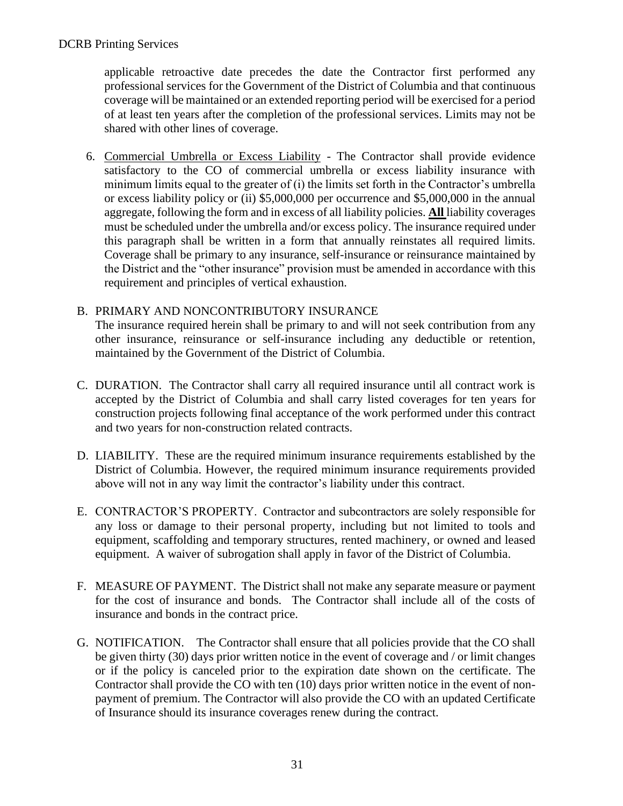applicable retroactive date precedes the date the Contractor first performed any professional services for the Government of the District of Columbia and that continuous coverage will be maintained or an extended reporting period will be exercised for a period of at least ten years after the completion of the professional services. Limits may not be shared with other lines of coverage.

6. Commercial Umbrella or Excess Liability - The Contractor shall provide evidence satisfactory to the CO of commercial umbrella or excess liability insurance with minimum limits equal to the greater of (i) the limits set forth in the Contractor's umbrella or excess liability policy or (ii) \$5,000,000 per occurrence and \$5,000,000 in the annual aggregate, following the form and in excess of all liability policies. **All** liability coverages must be scheduled under the umbrella and/or excess policy. The insurance required under this paragraph shall be written in a form that annually reinstates all required limits. Coverage shall be primary to any insurance, self-insurance or reinsurance maintained by the District and the "other insurance" provision must be amended in accordance with this requirement and principles of vertical exhaustion.

### B. PRIMARY AND NONCONTRIBUTORY INSURANCE

The insurance required herein shall be primary to and will not seek contribution from any other insurance, reinsurance or self-insurance including any deductible or retention, maintained by the Government of the District of Columbia.

- C. DURATION. The Contractor shall carry all required insurance until all contract work is accepted by the District of Columbia and shall carry listed coverages for ten years for construction projects following final acceptance of the work performed under this contract and two years for non-construction related contracts.
- D. LIABILITY. These are the required minimum insurance requirements established by the District of Columbia. However, the required minimum insurance requirements provided above will not in any way limit the contractor's liability under this contract.
- E. CONTRACTOR'S PROPERTY. Contractor and subcontractors are solely responsible for any loss or damage to their personal property, including but not limited to tools and equipment, scaffolding and temporary structures, rented machinery, or owned and leased equipment. A waiver of subrogation shall apply in favor of the District of Columbia.
- F. MEASURE OF PAYMENT. The District shall not make any separate measure or payment for the cost of insurance and bonds. The Contractor shall include all of the costs of insurance and bonds in the contract price.
- G. NOTIFICATION. The Contractor shall ensure that all policies provide that the CO shall be given thirty (30) days prior written notice in the event of coverage and / or limit changes or if the policy is canceled prior to the expiration date shown on the certificate. The Contractor shall provide the CO with ten (10) days prior written notice in the event of nonpayment of premium. The Contractor will also provide the CO with an updated Certificate of Insurance should its insurance coverages renew during the contract.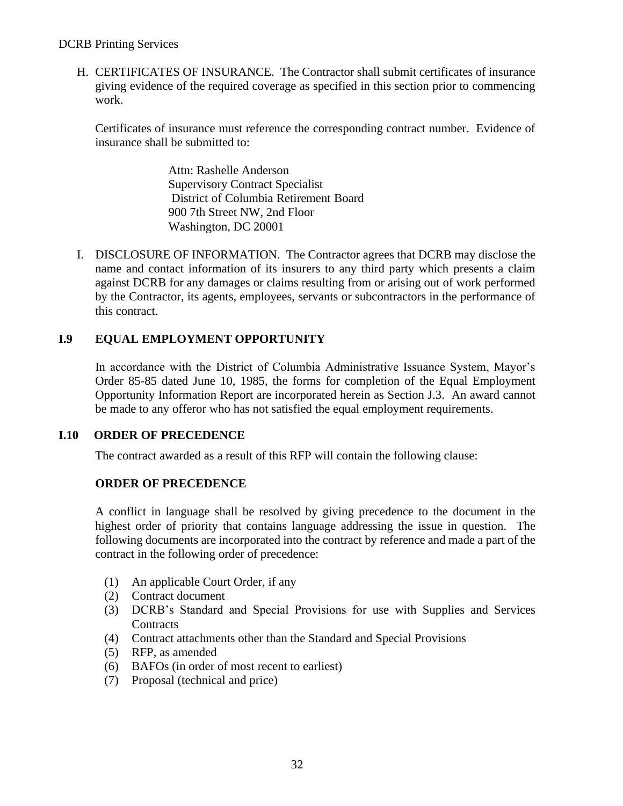#### DCRB Printing Services

H. CERTIFICATES OF INSURANCE. The Contractor shall submit certificates of insurance giving evidence of the required coverage as specified in this section prior to commencing work.

Certificates of insurance must reference the corresponding contract number. Evidence of insurance shall be submitted to:

> Attn: Rashelle Anderson Supervisory Contract Specialist District of Columbia Retirement Board 900 7th Street NW, 2nd Floor Washington, DC 20001

I. DISCLOSURE OF INFORMATION.The Contractor agrees that DCRB may disclose the name and contact information of its insurers to any third party which presents a claim against DCRB for any damages or claims resulting from or arising out of work performed by the Contractor, its agents, employees, servants or subcontractors in the performance of this contract.

### **I.9 EQUAL EMPLOYMENT OPPORTUNITY**

In accordance with the District of Columbia Administrative Issuance System, Mayor's Order 85-85 dated June 10, 1985, the forms for completion of the Equal Employment Opportunity Information Report are incorporated herein as Section J.3. An award cannot be made to any offeror who has not satisfied the equal employment requirements.

### **I.10 ORDER OF PRECEDENCE**

The contract awarded as a result of this RFP will contain the following clause:

### **ORDER OF PRECEDENCE**

A conflict in language shall be resolved by giving precedence to the document in the highest order of priority that contains language addressing the issue in question. The following documents are incorporated into the contract by reference and made a part of the contract in the following order of precedence:

- (1) An applicable Court Order, if any
- (2) Contract document
- (3) DCRB's Standard and Special Provisions for use with Supplies and Services **Contracts**
- (4) Contract attachments other than the Standard and Special Provisions
- (5) RFP, as amended
- (6) BAFOs (in order of most recent to earliest)
- (7) Proposal (technical and price)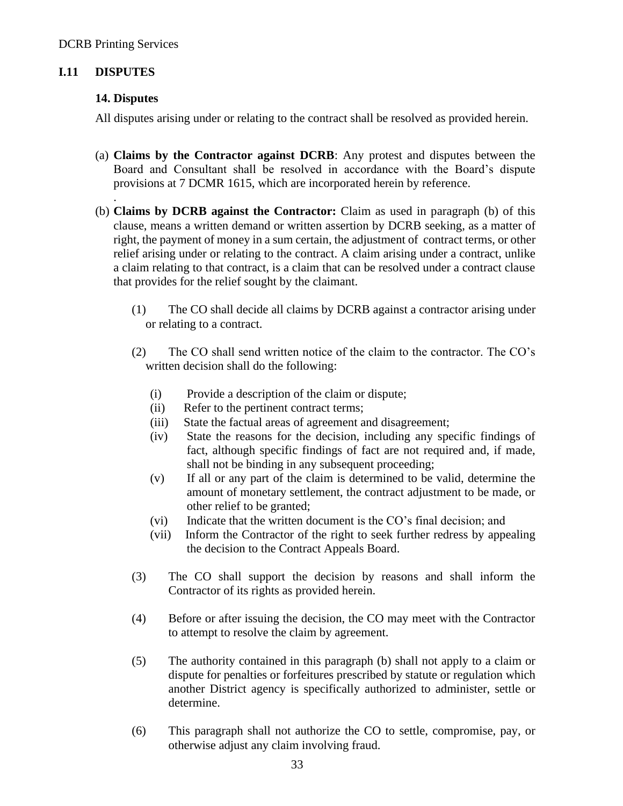### **I.11 DISPUTES**

#### **14. Disputes**

.

All disputes arising under or relating to the contract shall be resolved as provided herein.

- (a) **Claims by the Contractor against DCRB**: Any protest and disputes between the Board and Consultant shall be resolved in accordance with the Board's dispute provisions at 7 DCMR 1615, which are incorporated herein by reference.
- (b) **Claims by DCRB against the Contractor:** Claim as used in paragraph (b) of this clause, means a written demand or written assertion by DCRB seeking, as a matter of right, the payment of money in a sum certain, the adjustment of contract terms, or other relief arising under or relating to the contract. A claim arising under a contract, unlike a claim relating to that contract, is a claim that can be resolved under a contract clause that provides for the relief sought by the claimant.
	- (1) The CO shall decide all claims by DCRB against a contractor arising under or relating to a contract.
	- (2) The CO shall send written notice of the claim to the contractor. The CO's written decision shall do the following:
		- (i) Provide a description of the claim or dispute;
		- (ii) Refer to the pertinent contract terms;
		- (iii) State the factual areas of agreement and disagreement;
		- (iv) State the reasons for the decision, including any specific findings of fact, although specific findings of fact are not required and, if made, shall not be binding in any subsequent proceeding;
		- (v) If all or any part of the claim is determined to be valid, determine the amount of monetary settlement, the contract adjustment to be made, or other relief to be granted;
		- (vi) Indicate that the written document is the CO's final decision; and
		- (vii) Inform the Contractor of the right to seek further redress by appealing the decision to the Contract Appeals Board.
	- (3) The CO shall support the decision by reasons and shall inform the Contractor of its rights as provided herein.
	- (4) Before or after issuing the decision, the CO may meet with the Contractor to attempt to resolve the claim by agreement.
	- (5) The authority contained in this paragraph (b) shall not apply to a claim or dispute for penalties or forfeitures prescribed by statute or regulation which another District agency is specifically authorized to administer, settle or determine.
	- (6) This paragraph shall not authorize the CO to settle, compromise, pay, or otherwise adjust any claim involving fraud.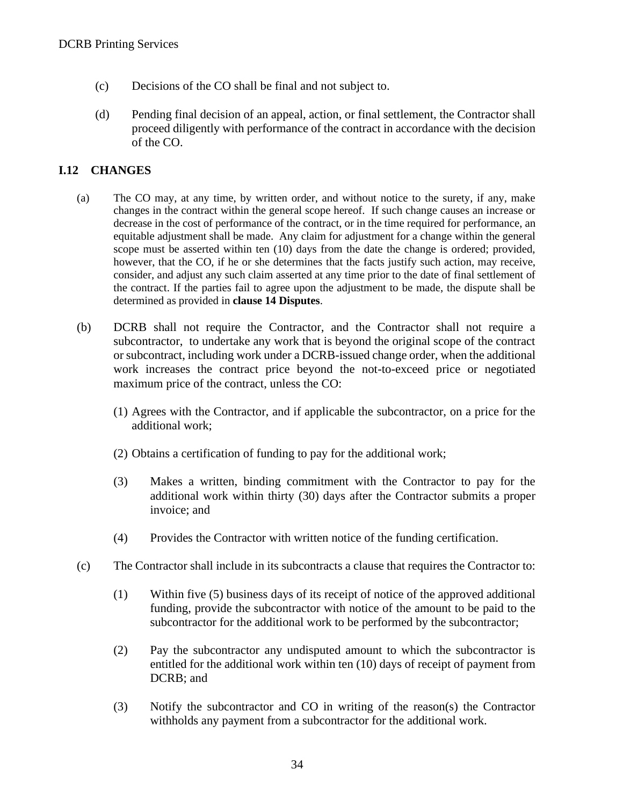- (c) Decisions of the CO shall be final and not subject to.
- (d) Pending final decision of an appeal, action, or final settlement, the Contractor shall proceed diligently with performance of the contract in accordance with the decision of the CO.

#### **I.12 CHANGES**

- (a) The CO may, at any time, by written order, and without notice to the surety, if any, make changes in the contract within the general scope hereof. If such change causes an increase or decrease in the cost of performance of the contract, or in the time required for performance, an equitable adjustment shall be made. Any claim for adjustment for a change within the general scope must be asserted within ten (10) days from the date the change is ordered; provided, however, that the CO, if he or she determines that the facts justify such action, may receive, consider, and adjust any such claim asserted at any time prior to the date of final settlement of the contract. If the parties fail to agree upon the adjustment to be made, the dispute shall be determined as provided in **clause 14 Disputes**.
- (b) DCRB shall not require the Contractor, and the Contractor shall not require a subcontractor, to undertake any work that is beyond the original scope of the contract or subcontract, including work under a DCRB-issued change order, when the additional work increases the contract price beyond the not-to-exceed price or negotiated maximum price of the contract, unless the CO:
	- (1) Agrees with the Contractor, and if applicable the subcontractor, on a price for the additional work;
	- (2) Obtains a certification of funding to pay for the additional work;
	- (3) Makes a written, binding commitment with the Contractor to pay for the additional work within thirty (30) days after the Contractor submits a proper invoice; and
	- (4) Provides the Contractor with written notice of the funding certification.
- (c) The Contractor shall include in its subcontracts a clause that requires the Contractor to:
	- (1) Within five (5) business days of its receipt of notice of the approved additional funding, provide the subcontractor with notice of the amount to be paid to the subcontractor for the additional work to be performed by the subcontractor;
	- (2) Pay the subcontractor any undisputed amount to which the subcontractor is entitled for the additional work within ten (10) days of receipt of payment from DCRB; and
	- (3) Notify the subcontractor and CO in writing of the reason(s) the Contractor withholds any payment from a subcontractor for the additional work.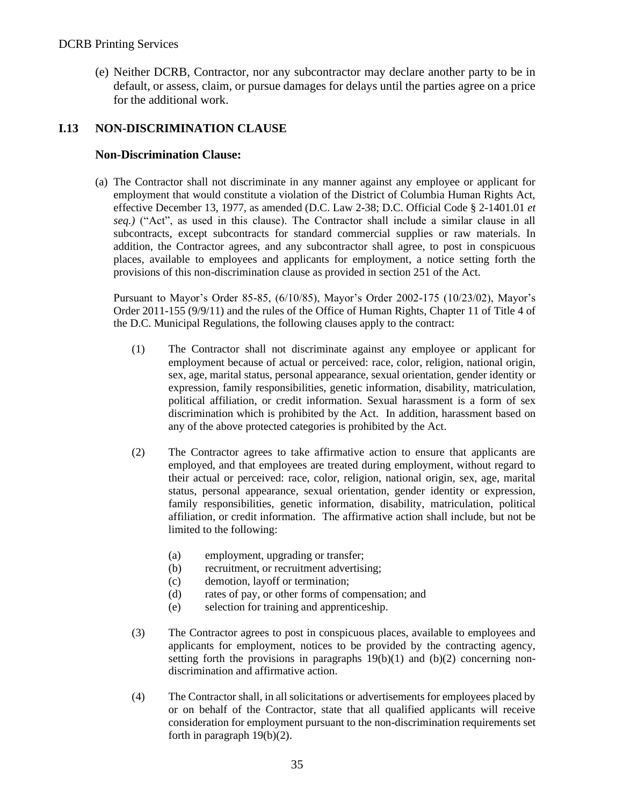(e) Neither DCRB, Contractor, nor any subcontractor may declare another party to be in default, or assess, claim, or pursue damages for delays until the parties agree on a price for the additional work.

### **I.13 NON-DISCRIMINATION CLAUSE**

#### **Non-Discrimination Clause:**

(a) The Contractor shall not discriminate in any manner against any employee or applicant for employment that would constitute a violation of the District of Columbia Human Rights Act, effective December 13, 1977, as amended (D.C. Law 2-38; D.C. Official Code § 2-1401.01 *et seq.)* ("Act", as used in this clause). The Contractor shall include a similar clause in all subcontracts, except subcontracts for standard commercial supplies or raw materials. In addition, the Contractor agrees, and any subcontractor shall agree, to post in conspicuous places, available to employees and applicants for employment, a notice setting forth the provisions of this non-discrimination clause as provided in section 251 of the Act.

Pursuant to Mayor's Order 85-85, (6/10/85), Mayor's Order 2002-175 (10/23/02), Mayor's Order 2011-155 (9/9/11) and the rules of the Office of Human Rights, Chapter 11 of Title 4 of the D.C. Municipal Regulations, the following clauses apply to the contract:

- (1) The Contractor shall not discriminate against any employee or applicant for employment because of actual or perceived: race, color, religion, national origin, sex, age, marital status, personal appearance, sexual orientation, gender identity or expression, family responsibilities, genetic information, disability, matriculation, political affiliation, or credit information. Sexual harassment is a form of sex discrimination which is prohibited by the Act. In addition, harassment based on any of the above protected categories is prohibited by the Act.
- (2) The Contractor agrees to take affirmative action to ensure that applicants are employed, and that employees are treated during employment, without regard to their actual or perceived: race, color, religion, national origin, sex, age, marital status, personal appearance, sexual orientation, gender identity or expression, family responsibilities, genetic information, disability, matriculation, political affiliation, or credit information. The affirmative action shall include, but not be limited to the following:
	- (a) employment, upgrading or transfer;
	- (b) recruitment, or recruitment advertising;
	- (c) demotion, layoff or termination;
	- (d) rates of pay, or other forms of compensation; and
	- (e) selection for training and apprenticeship.
- (3) The Contractor agrees to post in conspicuous places, available to employees and applicants for employment, notices to be provided by the contracting agency, setting forth the provisions in paragraphs  $19(b)(1)$  and  $(b)(2)$  concerning nondiscrimination and affirmative action.
- (4) The Contractor shall, in all solicitations or advertisements for employees placed by or on behalf of the Contractor, state that all qualified applicants will receive consideration for employment pursuant to the non-discrimination requirements set forth in paragraph 19(b)(2).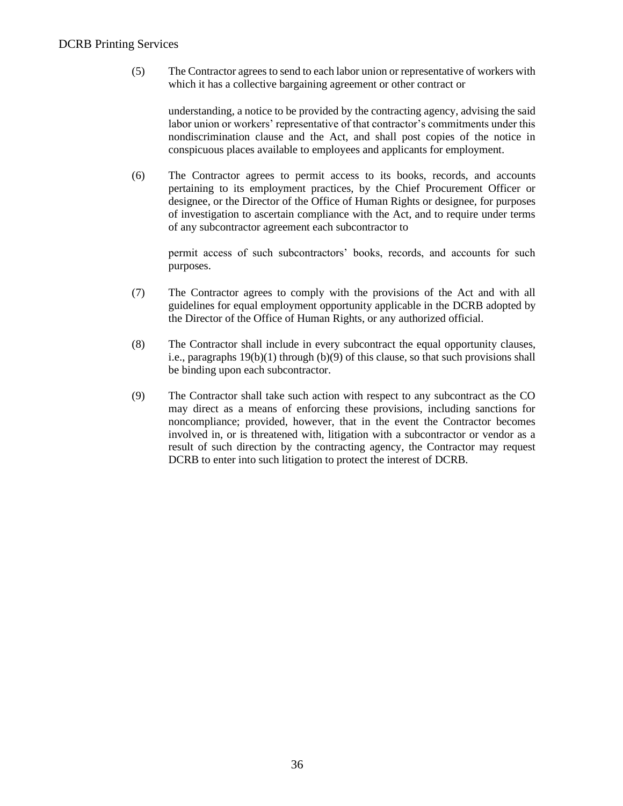#### DCRB Printing Services

(5) The Contractor agrees to send to each labor union or representative of workers with which it has a collective bargaining agreement or other contract or

understanding, a notice to be provided by the contracting agency, advising the said labor union or workers' representative of that contractor's commitments under this nondiscrimination clause and the Act, and shall post copies of the notice in conspicuous places available to employees and applicants for employment.

(6) The Contractor agrees to permit access to its books, records, and accounts pertaining to its employment practices, by the Chief Procurement Officer or designee, or the Director of the Office of Human Rights or designee, for purposes of investigation to ascertain compliance with the Act, and to require under terms of any subcontractor agreement each subcontractor to

permit access of such subcontractors' books, records, and accounts for such purposes.

- (7) The Contractor agrees to comply with the provisions of the Act and with all guidelines for equal employment opportunity applicable in the DCRB adopted by the Director of the Office of Human Rights, or any authorized official.
- (8) The Contractor shall include in every subcontract the equal opportunity clauses, i.e., paragraphs 19(b)(1) through (b)(9) of this clause, so that such provisions shall be binding upon each subcontractor.
- (9) The Contractor shall take such action with respect to any subcontract as the CO may direct as a means of enforcing these provisions, including sanctions for noncompliance; provided, however, that in the event the Contractor becomes involved in, or is threatened with, litigation with a subcontractor or vendor as a result of such direction by the contracting agency, the Contractor may request DCRB to enter into such litigation to protect the interest of DCRB.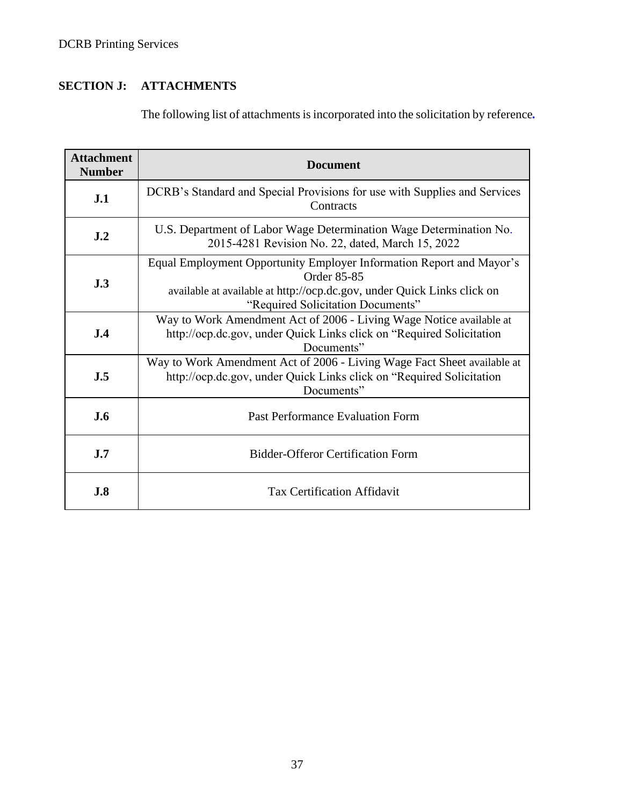# **SECTION J: ATTACHMENTS**

The following list of attachments is incorporated into the solicitation by reference*.* 

| <b>Attachment</b><br><b>Number</b> | <b>Document</b>                                                                                                                                                                                     |  |  |  |  |  |  |
|------------------------------------|-----------------------------------------------------------------------------------------------------------------------------------------------------------------------------------------------------|--|--|--|--|--|--|
| J.1                                | DCRB's Standard and Special Provisions for use with Supplies and Services<br>Contracts                                                                                                              |  |  |  |  |  |  |
| J <sub>.2</sub>                    | U.S. Department of Labor Wage Determination Wage Determination No.<br>2015-4281 Revision No. 22, dated, March 15, 2022                                                                              |  |  |  |  |  |  |
| J.3                                | Equal Employment Opportunity Employer Information Report and Mayor's<br>Order 85-85<br>available at available at http://ocp.dc.gov, under Quick Links click on<br>"Required Solicitation Documents" |  |  |  |  |  |  |
| J.4                                | Way to Work Amendment Act of 2006 - Living Wage Notice available at<br>http://ocp.dc.gov, under Quick Links click on "Required Solicitation<br>Documents"                                           |  |  |  |  |  |  |
| J.5                                | Way to Work Amendment Act of 2006 - Living Wage Fact Sheet available at<br>http://ocp.dc.gov, under Quick Links click on "Required Solicitation"<br>Documents"                                      |  |  |  |  |  |  |
| J.6                                | Past Performance Evaluation Form                                                                                                                                                                    |  |  |  |  |  |  |
| J.7                                | <b>Bidder-Offeror Certification Form</b>                                                                                                                                                            |  |  |  |  |  |  |
| J.8                                | <b>Tax Certification Affidavit</b>                                                                                                                                                                  |  |  |  |  |  |  |